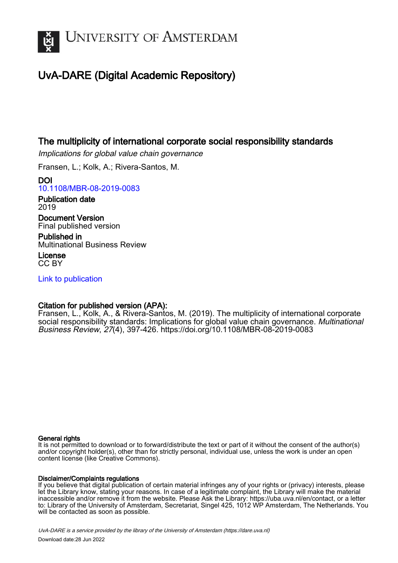

# UvA-DARE (Digital Academic Repository)

# The multiplicity of international corporate social responsibility standards

Implications for global value chain governance

Fransen, L.; Kolk, A.; Rivera-Santos, M.

DOI [10.1108/MBR-08-2019-0083](https://doi.org/10.1108/MBR-08-2019-0083)

Publication date 2019

Document Version Final published version

Published in Multinational Business Review

License CC BY

[Link to publication](https://dare.uva.nl/personal/pure/en/publications/the-multiplicity-of-international-corporate-social-responsibility-standards(5aa1dbc7-9674-47d9-a52c-a231b0fdeabd).html)

# Citation for published version (APA):

Fransen, L., Kolk, A., & Rivera-Santos, M. (2019). The multiplicity of international corporate social responsibility standards: Implications for global value chain governance. Multinational Business Review, 27(4), 397-426.<https://doi.org/10.1108/MBR-08-2019-0083>

# General rights

It is not permitted to download or to forward/distribute the text or part of it without the consent of the author(s) and/or copyright holder(s), other than for strictly personal, individual use, unless the work is under an open content license (like Creative Commons).

# Disclaimer/Complaints regulations

If you believe that digital publication of certain material infringes any of your rights or (privacy) interests, please let the Library know, stating your reasons. In case of a legitimate complaint, the Library will make the material inaccessible and/or remove it from the website. Please Ask the Library: https://uba.uva.nl/en/contact, or a letter to: Library of the University of Amsterdam, Secretariat, Singel 425, 1012 WP Amsterdam, The Netherlands. You will be contacted as soon as possible.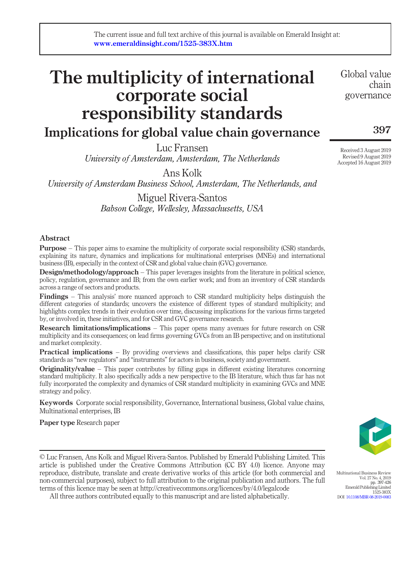# The multiplicity of international corporate social responsibility standards

# Implications for global value chain governance

Luc Fransen University of Amsterdam, Amsterdam, The Netherlands

Ans Kolk University of Amsterdam Business School, Amsterdam, The Netherlands, and

> Miguel Rivera-Santos Babson College, Wellesley, Massachusetts, USA

## Abstract

**Purpose** – This paper aims to examine the multiplicity of corporate social responsibility (CSR) standards, explaining its nature, dynamics and implications for multinational enterprises (MNEs) and international business (IB), especially in the context of CSR and global value chain (GVC) governance.

Design/methodology/approach – This paper leverages insights from the literature in political science, policy, regulation, governance and IB; from the own earlier work; and from an inventory of CSR standards across a range of sectors and products.

Findings – This analysis' more nuanced approach to CSR standard multiplicity helps distinguish the different categories of standards; uncovers the existence of different types of standard multiplicity; and highlights complex trends in their evolution over time, discussing implications for the various firms targeted by, or involved in, these initiatives, and for CSR and GVC governance research.

Research limitations/implications – This paper opens many avenues for future research on CSR multiplicity and its consequences; on lead firms governing GVCs from an IB perspective; and on institutional and market complexity.

Practical implications – By providing overviews and classifications, this paper helps clarify CSR standards as "new regulators" and "instruments" for actors in business, society and government.

**Originality/value** – This paper contributes by filling gaps in different existing literatures concerning standard multiplicity. It also specifically adds a new perspective to the IB literature, which thus far has not fully incorporated the complexity and dynamics of CSR standard multiplicity in examining GVCs and MNE strategy and policy.

Keywords Corporate social responsibility, Governance, International business, Global value chains, Multinational enterprises, IB

Paper type Research paper

Multinational Business Review Vol. 27 No. 4, 2019 pp. 397-426 Emerald Publishing Limited 1525-383X

DOI [10.1108/MBR-08-2019-0083](http://dx.doi.org/10.1108/MBR-08-2019-0083)

© Luc Fransen, Ans Kolk and Miguel Rivera-Santos. Published by Emerald Publishing Limited. This article is published under the Creative Commons Attribution (CC BY 4.0) licence. Anyone may reproduce, distribute, translate and create derivative works of this article (for both commercial and non-commercial purposes), subject to full attribution to the original publication and authors. The full terms of this licence may be seen at http://creativecommons.org/licences/by/4.0/legalcode

All three authors contributed equally to this manuscript and are listed alphabetically.

Global value chain governance

397

Received 3 August 2019 Revised 9 August 2019 Accepted 16 August 2019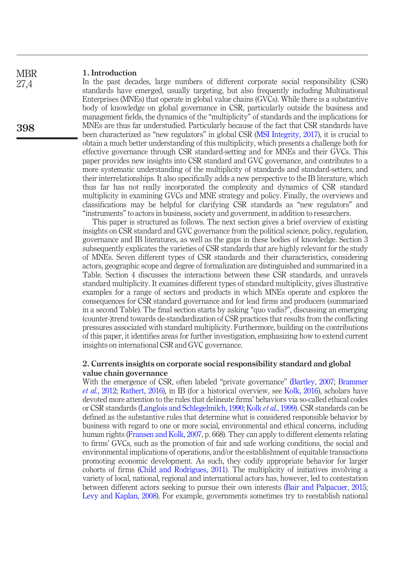#### 1. Introduction **MBR**

27,4

398

In the past decades, large numbers of different corporate social responsibility (CSR) standards have emerged, usually targeting, but also frequently including Multinational Enterprises (MNEs) that operate in global value chains (GVCs). While there is a substantive body of knowledge on global governance in CSR, particularly outside the business and management fields, the dynamics of the "multiplicity" of standards and the implications for MNEs are thus far understudied. Particularly because of the fact that CSR standards have been characterized as "new regulators" in global CSR [\(MSI Integrity, 2017\)](#page-23-0), it is crucial to obtain a much better understanding of this multiplicity, which presents a challenge both for effective governance through CSR standard-setting and for MNEs and their GVCs. This paper provides new insights into CSR standard and GVC governance, and contributes to a more systematic understanding of the multiplicity of standards and standard-setters, and their interrelationships. It also specifically adds a new perspective to the IB literature, which thus far has not really incorporated the complexity and dynamics of CSR standard multiplicity in examining GVCs and MNE strategy and policy. Finally, the overviews and classifications may be helpful for clarifying CSR standards as "new regulators" and "instruments" to actors in business, society and government, in addition to researchers.

This paper is structured as follows. The next section gives a brief overview of existing insights on CSR standard and GVC governance from the political science, policy, regulation, governance and IB literatures, as well as the gaps in these bodies of knowledge. Section 3 subsequently explicates the varieties of CSR standards that are highly relevant for the study of MNEs. Seven different types of CSR standards and their characteristics, considering actors, geographic scope and degree of formalization are distinguished and summarized in a Table. Section 4 discusses the interactions between these CSR standards, and unravels standard multiplicity. It examines different types of standard multiplicity, gives illustrative examples for a range of sectors and products in which MNEs operate and explores the consequences for CSR standard governance and for lead firms and producers (summarized in a second Table). The final section starts by asking "quo vadis?", discussing an emerging (counter-)trend towards de-standardization of CSR practices that results from the conflicting pressures associated with standard multiplicity. Furthermore, building on the contributions of this paper, it identifies areas for further investigation, emphasizing how to extend current insights on international CSR and GVC governance.

## 2. Currents insights on corporate social responsibility standard and global value chain governance

With the emergence of CSR, often labeled "private governance" [\(Bartley, 2007;](#page-20-0) [Brammer](#page-20-1) et al.[, 2012;](#page-20-1) [Rathert, 2016\)](#page-24-0), in IB (for a historical overview, see [Kolk, 2016\)](#page-22-0), scholars have devoted more attention to the rules that delineate firms' behaviors via so-called ethical codes or CSR standards ([Langlois and Schlegelmilch, 1990](#page-23-1); Kolk et al.[, 1999\)](#page-22-1). CSR standards can be defined as the substantive rules that determine what is considered responsible behavior by business with regard to one or more social, environmental and ethical concerns, including human rights [\(Fransen and Kolk, 2007,](#page-21-0) p. 668). They can apply to different elements relating to firms' GVCs, such as the promotion of fair and safe working conditions, the social and environmental implications of operations, and/or the establishment of equitable transactions promoting economic development. As such, they codify appropriate behavior for larger cohorts of firms [\(Child and Rodrigues, 2011\)](#page-20-2). The multiplicity of initiatives involving a variety of local, national, regional and international actors has, however, led to contestation between different actors seeking to pursue their own interests ([Bair and Palpacuer, 2015;](#page-20-3) [Levy and Kaplan, 2008](#page-23-2)). For example, governments sometimes try to reestablish national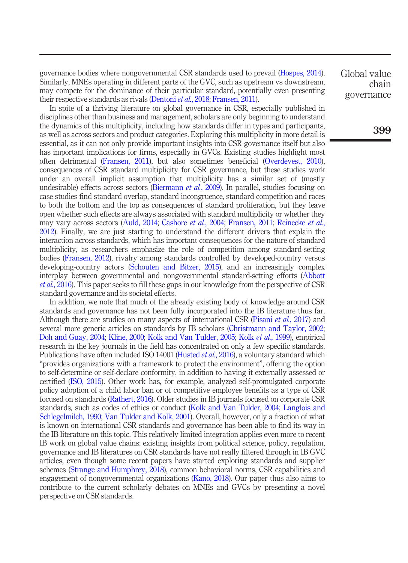governance bodies where nongovernmental CSR standards used to prevail ([Hospes, 2014\)](#page-22-2). Similarly, MNEs operating in different parts of the GVC, such as upstream vs downstream, may compete for the dominance of their particular standard, potentially even presenting their respective standards as rivals [\(Dentoni](#page-20-4) *et al.*, 2018; [Fransen, 2011](#page-21-1)).

In spite of a thriving literature on global governance in CSR, especially published in disciplines other than business and management, scholars are only beginning to understand the dynamics of this multiplicity, including how standards differ in types and participants, as well as across sectors and product categories. Exploring this multiplicity in more detail is essential, as it can not only provide important insights into CSR governance itself but also has important implications for firms, especially in GVCs. Existing studies highlight most often detrimental [\(Fransen, 2011\)](#page-21-1), but also sometimes beneficial [\(Overdevest, 2010\)](#page-23-3), consequences of CSR standard multiplicity for CSR governance, but these studies work under an overall implicit assumption that multiplicity has a similar set of (mostly undesirable) effects across sectors [\(Biermann](#page-20-5) *et al.*, 2009). In parallel, studies focusing on case studies find standard overlap, standard incongruence, standard competition and races to both the bottom and the top as consequences of standard proliferation, but they leave open whether such effects are always associated with standard multiplicity or whether they may vary across sectors ([Auld, 2014;](#page-20-6) [Cashore](#page-20-7) *et al.*, 2004; [Fransen, 2011](#page-21-1); [Reinecke](#page-24-1) *et al.*, [2012\)](#page-24-1). Finally, we are just starting to understand the different drivers that explain the interaction across standards, which has important consequences for the nature of standard multiplicity, as researchers emphasize the role of competition among standard-setting bodies [\(Fransen, 2012](#page-21-2)), rivalry among standards controlled by developed-country versus developing-country actors ([Schouten and Bitzer, 2015](#page-24-2)), and an increasingly complex interplay between governmental and nongovernmental standard-setting efforts [\(Abbott](#page-20-8) et al.[, 2016\)](#page-20-8). This paper seeks to fill these gaps in our knowledge from the perspective of CSR standard governance and its societal effects.

In addition, we note that much of the already existing body of knowledge around CSR standards and governance has not been fully incorporated into the IB literature thus far. Although there are studies on many aspects of international CSR ([Pisani](#page-23-4) *et al.*, 2017) and several more generic articles on standards by IB scholars [\(Christmann and Taylor, 2002](#page-20-9); [Doh and Guay, 2004;](#page-21-3) [Kline, 2000](#page-22-3); [Kolk and Van Tulder, 2005](#page-22-4); Kolk et al.[, 1999\)](#page-22-1), empirical research in the key journals in the field has concentrated on only a few specific standards. Publications have often included ISO 14001 ([Husted](#page-22-5) *et al.*, 2016), a voluntary standard which "provides organizations with a framework to protect the environment", offering the option to self-determine or self-declare conformity, in addition to having it externally assessed or certified [\(ISO, 2015\)](#page-22-6). Other work has, for example, analyzed self-promulgated corporate policy adoption of a child labor ban or of competitive employee benefits as a type of CSR focused on standards [\(Rathert, 2016](#page-24-0)). Older studies in IB journals focused on corporate CSR standards, such as codes of ethics or conduct ([Kolk and Van Tulder, 2004](#page-22-7); [Langlois and](#page-23-1) [Schlegelmilch, 1990](#page-23-1); [Van Tulder and Kolk, 2001](#page-24-3)). Overall, however, only a fraction of what is known on international CSR standards and governance has been able to find its way in the IB literature on this topic. This relatively limited integration applies even more to recent IB work on global value chains: existing insights from political science, policy, regulation, governance and IB literatures on CSR standards have not really filtered through in IB GVC articles, even though some recent papers have started exploring standards and supplier schemes [\(Strange and Humphrey, 2018](#page-24-4)), common behavioral norms, CSR capabilities and engagement of nongovernmental organizations ([Kano, 2018\)](#page-22-8). Our paper thus also aims to contribute to the current scholarly debates on MNEs and GVCs by presenting a novel perspective on CSR standards.

Global value chain governance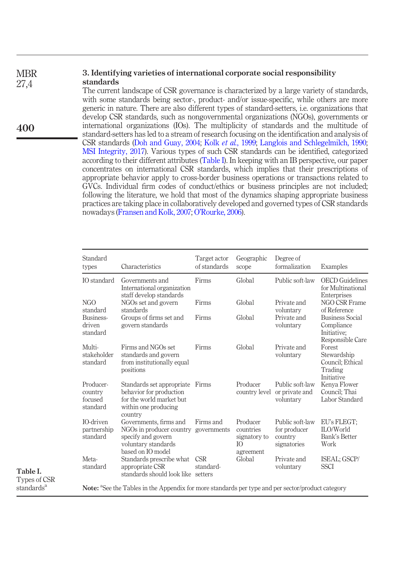#### 3. Identifying varieties of international corporate social responsibility standards **MBR** 27,4

The current landscape of CSR governance is characterized by a large variety of standards, with some standards being sector-, product- and/or issue-specific, while others are more generic in nature. There are also different types of standard-setters, i.e. organizations that develop CSR standards, such as nongovernmental organizations (NGOs), governments or international organizations (IOs). The multiplicity of standards and the multitude of standard-setters has led to a stream of research focusing on the identification and analysis of CSR standards [\(Doh and Guay, 2004](#page-21-3); Kolk et al.[, 1999](#page-22-1); [Langlois and Schlegelmilch, 1990;](#page-23-1) [MSI Integrity, 2017\)](#page-23-0). Various types of such CSR standards can be identified, categorized according to their different attributes [\(Table I](#page-4-0)). In keeping with an IB perspective, our paper concentrates on international CSR standards, which implies that their prescriptions of appropriate behavior apply to cross-border business operations or transactions related to GVCs. Individual firm codes of conduct/ethics or business principles are not included; following the literature, we hold that most of the dynamics shaping appropriate business practices are taking place in collaboratively developed and governed types of CSR standards nowadays ([Fransen and Kolk, 2007](#page-21-0); O'[Rourke, 2006](#page-23-5)).

| Standard<br>types                           | Characteristics                                                                                                                  | Target actor<br>of standards | Geographic<br>scope                                       | Degree of<br>formalization                                | Examples                                                                |
|---------------------------------------------|----------------------------------------------------------------------------------------------------------------------------------|------------------------------|-----------------------------------------------------------|-----------------------------------------------------------|-------------------------------------------------------------------------|
| IO standard                                 | Governments and<br>International organization<br>staff develop standards                                                         | Firms                        | Global                                                    | Public soft-law                                           | <b>OECD</b> Guidelines<br>for Multinational<br>Enterprises              |
| NGO<br>standard                             | NGOs set and govern<br>standards                                                                                                 | Firms                        | Global                                                    | Private and<br>voluntary                                  | NGO CSR Frame<br>of Reference                                           |
| Business-<br>driven<br>standard             | Groups of firms set and<br>govern standards                                                                                      | Firms                        | Global                                                    | Private and<br>voluntary                                  | <b>Business Social</b><br>Compliance<br>Initiative;<br>Responsible Care |
| Multi-<br>stakeholder<br>standard           | Firms and NGOs set<br>standards and govern<br>from institutionally equal<br>positions                                            | Firms                        | Global                                                    | Private and<br>voluntary                                  | Forest<br>Stewardship<br>Council; Ethical<br>Trading<br>Initiative      |
| Producer-<br>country<br>focused<br>standard | Standards set appropriate Firms<br>behavior for production<br>for the world market but<br>within one producing<br>country        |                              | Producer<br>country level                                 | Public soft-law<br>or private and<br>voluntary            | Kenya Flower<br>Council: Thai<br>Labor Standard                         |
| <b>IO-driven</b><br>partnership<br>standard | Governments, firms and<br>NGOs in producer country governments<br>specify and govern<br>voluntary standards<br>based on IO model | Firms and                    | Producer<br>countries<br>signatory to<br>IO.<br>agreement | Public soft-law<br>for producer<br>country<br>signatories | EU's FLEGT:<br>ILO/World<br>Bank's Better<br>Work                       |
| Meta-<br>standard                           | Standards prescribe what<br>appropriate CSR<br>standards should look like setters                                                | <b>CSR</b><br>standard-      | Global                                                    | Private and<br>voluntary                                  | ISEAL; GSCP/<br><b>SSCI</b>                                             |

<span id="page-4-0"></span>Table I. Types of CSR standards<sup>a</sup>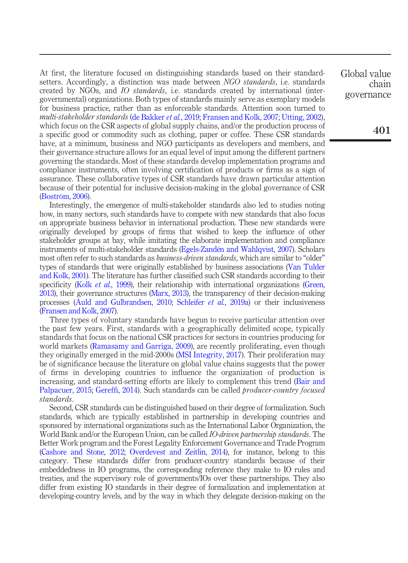At first, the literature focused on distinguishing standards based on their standardsetters. Accordingly, a distinction was made between NGO *standards*, i.e. standards created by NGOs, and *IO standards*, i.e. standards created by international (intergovernmental) organizations. Both types of standards mainly serve as exemplary models for business practice, rather than as enforceable standards. Attention soon turned to multi-stakeholder standards ([de Bakker](#page-20-10) et al., 2019; [Fransen and Kolk, 2007;](#page-21-0) [Utting, 2002\)](#page-24-5), which focus on the CSR aspects of global supply chains, and/or the production process of a specific good or commodity such as clothing, paper or coffee. These CSR standards have, at a minimum, business and NGO participants as developers and members, and their governance structure allows for an equal level of input among the different partners governing the standards. Most of these standards develop implementation programs and compliance instruments, often involving certification of products or firms as a sign of assurance. These collaborative types of CSR standards have drawn particular attention because of their potential for inclusive decision-making in the global governance of CSR [\(Boström, 2006\)](#page-20-11).

Interestingly, the emergence of multi-stakeholder standards also led to studies noting how, in many sectors, such standards have to compete with new standards that also focus on appropriate business behavior in international production. These new standards were originally developed by groups of firms that wished to keep the influence of other stakeholder groups at bay, while imitating the elaborate implementation and compliance instruments of multi-stakeholder standards [\(Egels-Zandén and Wahlqvist, 2007](#page-21-4)). Scholars most often refer to such standards as *business-driven standards*, which are similar to "older" types of standards that were originally established by business associations [\(Van Tulder](#page-24-3) [and Kolk, 2001](#page-24-3)). The literature has further classified such CSR standards according to their specificity (Kolk *et al.*[, 1999](#page-22-1)), their relationship with international organizations ([Green,](#page-22-9) [2013\)](#page-22-9), their governance structures ([Marx, 2013\)](#page-23-6), the transparency of their decision-making processes [\(Auld and Gulbrandsen, 2010;](#page-20-12) [Schleifer](#page-24-6) et al., 2019a) or their inclusiveness [\(Fransen and Kolk, 2007\)](#page-21-0).

Three types of voluntary standards have begun to receive particular attention over the past few years. First, standards with a geographically delimited scope, typically standards that focus on the national CSR practices for sectors in countries producing for world markets ([Ramasamy and Garriga, 2009\)](#page-24-7), are recently proliferating, even though they originally emerged in the mid-2000s [\(MSI Integrity, 2017](#page-23-0)). Their proliferation may be of significance because the literature on global value chains suggests that the power of firms in developing countries to influence the organization of production is increasing, and standard-setting efforts are likely to complement this trend [\(Bair and](#page-20-3) [Palpacuer, 2015](#page-20-3); Gereffi[, 2014\)](#page-21-5). Such standards can be called *producer-country focused* standards.

Second, CSR standards can be distinguished based on their degree of formalization. Such standards, which are typically established in partnership in developing countries and sponsored by international organizations such as the International Labor Organization, the World Bank and/or the European Union, can be called *IO-driven partnership standards*. The Better Work program and the Forest Legality Enforcement Governance and Trade Program [\(Cashore and Stone, 2012](#page-20-13); [Overdevest and Zeitlin, 2014](#page-23-7)), for instance, belong to this category. These standards differ from producer-country standards because of their embeddedness in IO programs, the corresponding reference they make to IO rules and treaties, and the supervisory role of governments/IOs over these partnerships. They also differ from existing IO standards in their degree of formalization and implementation at developing-country levels, and by the way in which they delegate decision-making on the Global value chain governance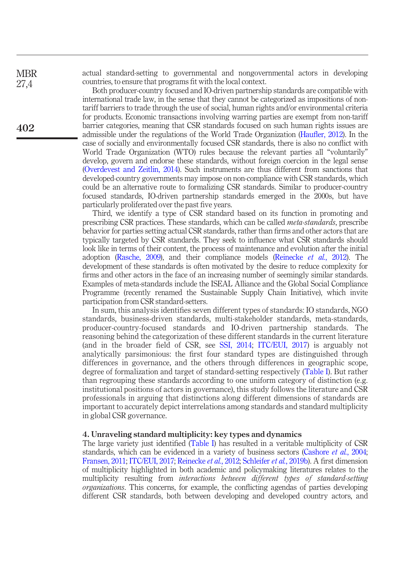actual standard-setting to governmental and nongovernmental actors in developing countries, to ensure that programs fit with the local context.

Both producer-country focused and IO-driven partnership standards are compatible with international trade law, in the sense that they cannot be categorized as impositions of nontariff barriers to trade through the use of social, human rights and/or environmental criteria for products. Economic transactions involving warring parties are exempt from non-tariff barrier categories, meaning that CSR standards focused on such human rights issues are admissible under the regulations of the World Trade Organization (Haufl[er, 2012\)](#page-22-10). In the case of socially and environmentally focused CSR standards, there is also no conflict with World Trade Organization (WTO) rules because the relevant parties all "voluntarily" develop, govern and endorse these standards, without foreign coercion in the legal sense [\(Overdevest and Zeitlin, 2014](#page-23-7)). Such instruments are thus different from sanctions that developed-country governments may impose on non-compliance with CSR standards, which could be an alternative route to formalizing CSR standards. Similar to producer-country focused standards, IO-driven partnership standards emerged in the 2000s, but have particularly proliferated over the past five years.

Third, we identify a type of CSR standard based on its function in promoting and prescribing CSR practices. These standards, which can be called meta-standards, prescribe behavior for parties setting actual CSR standards, rather than firms and other actors that are typically targeted by CSR standards. They seek to influence what CSR standards should look like in terms of their content, the process of maintenance and evolution after the initial adoption (Rasche,  $2009$ ), and their compliance models ([Reinecke](#page-24-1) et al.,  $2012$ ). The development of these standards is often motivated by the desire to reduce complexity for firms and other actors in the face of an increasing number of seemingly similar standards. Examples of meta-standards include the ISEAL Alliance and the Global Social Compliance Programme (recently renamed the Sustainable Supply Chain Initiative), which invite participation from CSR standard-setters.

In sum, this analysis identifies seven different types of standards: IO standards, NGO standards, business-driven standards, multi-stakeholder standards, meta-standards, producer-country-focused standards and IO-driven partnership standards. The reasoning behind the categorization of these different standards in the current literature (and in the broader field of CSR, see [SSI, 2014;](#page-24-9) [ITC/EUI, 2017\)](#page-22-11) is arguably not analytically parsimonious: the first four standard types are distinguished through differences in governance, and the others through differences in geographic scope, degree of formalization and target of standard-setting respectively [\(Table I\)](#page-4-0). But rather than regrouping these standards according to one uniform category of distinction (e.g. institutional positions of actors in governance), this study follows the literature and CSR professionals in arguing that distinctions along different dimensions of standards are important to accurately depict interrelations among standards and standard multiplicity in global CSR governance.

#### 4. Unraveling standard multiplicity: key types and dynamics

The large variety just identified ([Table I\)](#page-4-0) has resulted in a veritable multiplicity of CSR standards, which can be evidenced in a variety of business sectors ([Cashore](#page-20-7) *et al.*, 2004; [Fransen, 2011](#page-21-1); [ITC/EUI, 2017;](#page-22-11) [Reinecke](#page-24-1) et al., 2012; [Schleifer](#page-24-10) et al., 2019b). A first dimension of multiplicity highlighted in both academic and policymaking literatures relates to the multiplicity resulting from interactions between different types of standard-setting organizations. This concerns, for example, the conflicting agendas of parties developing different CSR standards, both between developing and developed country actors, and

402

**MBR** 27,4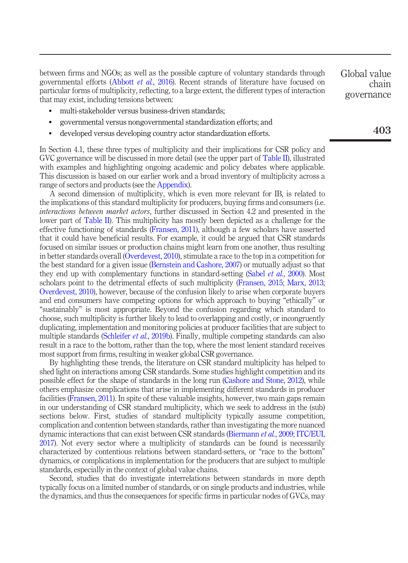between firms and NGOs; as well as the possible capture of voluntary standards through governmental efforts [\(Abbott](#page-20-8) et al., 2016). Recent strands of literature have focused on particular forms of multiplicity, reflecting, to a large extent, the different types of interaction that may exist, including tensions between:

- multi-stakeholder versus business-driven standards;
- governmental versus nongovernmental standardization efforts; and
- developed versus developing country actor standardization efforts.

In Section 4.1, these three types of multiplicity and their implications for CSR policy and GVC governance will be discussed in more detail (see the upper part of [Table II\)](#page-8-0), illustrated with examples and highlighting ongoing academic and policy debates where applicable. This discussion is based on our earlier work and a broad inventory of multiplicity across a range of sectors and products (see the Appendix).

A second dimension of multiplicity, which is even more relevant for IB, is related to the implications of this standard multiplicity for producers, buying firms and consumers (i.e. interactions between market actors, further discussed in Section 4.2 and presented in the lower part of [Table II\)](#page-8-0). This multiplicity has mostly been depicted as a challenge for the effective functioning of standards [\(Fransen, 2011\)](#page-21-1), although a few scholars have asserted that it could have beneficial results. For example, it could be argued that CSR standards focused on similar issues or production chains might learn from one another, thus resulting in better standards overall [\(Overdevest, 2010\)](#page-23-3), stimulate a race to the top in a competition for the best standard for a given issue ([Bernstein and Cashore, 2007](#page-20-14)) or mutually adjust so that they end up with complementary functions in standard-setting (Sabel *et al.*[, 2000](#page-24-11)). Most scholars point to the detrimental effects of such multiplicity [\(Fransen, 2015](#page-21-6); [Marx, 2013](#page-23-6); [Overdevest, 2010\)](#page-23-3), however, because of the confusion likely to arise when corporate buyers and end consumers have competing options for which approach to buying "ethically" or "sustainably" is most appropriate. Beyond the confusion regarding which standard to choose, such multiplicity is further likely to lead to overlapping and costly, or incongruently duplicating, implementation and monitoring policies at producer facilities that are subject to multiple standards [\(Schleifer](#page-24-10) *et al.*, 2019b). Finally, multiple competing standards can also result in a race to the bottom, rather than the top, where the most lenient standard receives most support from firms, resulting in weaker global CSR governance.

By highlighting these trends, the literature on CSR standard multiplicity has helped to shed light on interactions among CSR standards. Some studies highlight competition and its possible effect for the shape of standards in the long run ([Cashore and Stone, 2012](#page-20-13)), while others emphasize complications that arise in implementing different standards in producer facilities [\(Fransen, 2011\)](#page-21-1). In spite of these valuable insights, however, two main gaps remain in our understanding of CSR standard multiplicity, which we seek to address in the (sub) sections below. First, studies of standard multiplicity typically assume competition, complication and contention between standards, rather than investigating the more nuanced dynamic interactions that can exist between CSR standards [\(Biermann](#page-20-5) et al., 2009; [ITC/EUI,](#page-22-11) [2017\)](#page-22-11). Not every sector where a multiplicity of standards can be found is necessarily characterized by contentious relations between standard-setters, or "race to the bottom" dynamics, or complications in implementation for the producers that are subject to multiple standards, especially in the context of global value chains.

Second, studies that do investigate interrelations between standards in more depth typically focus on a limited number of standards, or on single products and industries, while the dynamics, and thus the consequences for specific firms in particular nodes of GVCs, may Global value chain governance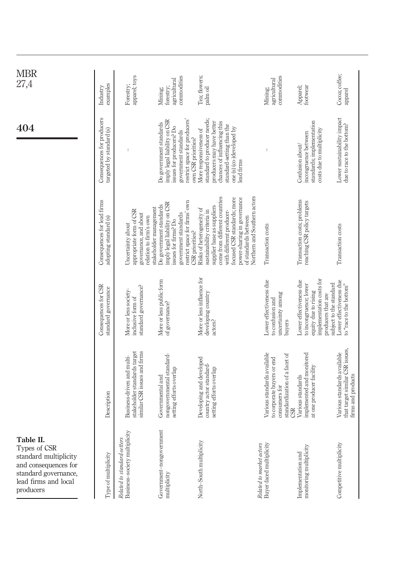<span id="page-8-0"></span>

| MBR<br>27,4                                                                                                                             | examples<br>Industry                                   | apparel; toys<br>Forestry;                                                                      | commodities<br>agricultural<br>forestry;<br>Mining;                                                                                                                | Tea; flowers;<br>palm oil                                                                                                                                                                                                                                                                   | commodities<br>agricultural<br>Mining;                                                                                    | Apparel;<br>footwear                                                                                                        | Cocoa; coffee;<br>apparel                                                            |
|-----------------------------------------------------------------------------------------------------------------------------------------|--------------------------------------------------------|-------------------------------------------------------------------------------------------------|--------------------------------------------------------------------------------------------------------------------------------------------------------------------|---------------------------------------------------------------------------------------------------------------------------------------------------------------------------------------------------------------------------------------------------------------------------------------------|---------------------------------------------------------------------------------------------------------------------------|-----------------------------------------------------------------------------------------------------------------------------|--------------------------------------------------------------------------------------|
| 404                                                                                                                                     | Consequences for producers<br>targeted by standard (s) |                                                                                                 | restrict space for producers'<br>imply legal liability on CSR<br>Do government standards<br>issues for producers? Do<br>government standards                       | standard to producer needs;<br>producers may have better<br>chances of influencing this<br>standard-setting than the<br>one (s) (co-)developed by<br>More responsiveness of<br>own CSR priorities?<br>lead firms                                                                            |                                                                                                                           | standards; implementation<br>costs due to multiplicity<br>incongruence between<br>Confusion about/                          | Lower sustainability impact<br>due to race to the bottom?                            |
|                                                                                                                                         | Consequences for lead firms<br>adopting standard (s)   | appropriate form of CSR<br>governance, and about<br>relation to firm's own<br>Uncertainty about | restrict space for firms' own<br>imply legal liability on CSR<br>Do government standards<br>stakeholder management<br>government standards<br>issues for firms? Do | Northern and Southern actors<br>come from different countries<br>focused CSR standards; more<br>power-sharing in governance<br>supplier base as suppliers<br>Risks of heterogeneity of<br>sustainability criteria in<br>with different producer-<br>of standards between<br>CSR priorities? | Transaction costs                                                                                                         | Transaction costs; problems<br>reaching CSR policy targets                                                                  | Transaction costs                                                                    |
|                                                                                                                                         | Consequences for CSR<br>standard governance            | standard governance?<br>More or less society-<br>inclusive form of                              | More or less public form<br>of governance?                                                                                                                         | More or less influence for<br>developing country<br>actors?                                                                                                                                                                                                                                 | Lower effectiveness due<br>uncertainty among<br>to confusion and<br>buyers                                                | implementation costs for<br>Lower effectiveness due<br>to incongruence; lower<br>equity due to rising<br>producers that are | Lower effectiveness due<br>subject to the standard<br>to "race to the bottom"        |
|                                                                                                                                         | Description                                            | similar CSR issues and firms<br>stakeholder standards target<br>Business-driven and multi-      | nongovernmental standard-<br>setting efforts overlap<br>Governmental and                                                                                           | Developing and developed<br>country actor standard-<br>setting efforts overlap                                                                                                                                                                                                              | Various standards available<br>standardization of a facet of<br>to corporate buyers or end<br>consumers for<br><b>GSR</b> | implemented and monitored<br>at one producer facility<br>Various standards                                                  | that target similar CSR issues,<br>Various standards available<br>firms and products |
| Table II.<br>Types of CSR<br>standard multiplicity<br>and consequences for<br>standard governance,<br>lead firms and local<br>producers | Type of multiplicity                                   | Business-society multiplicity<br>Related to standard-setters                                    | Government-nongovernment<br>multiplicity                                                                                                                           | North-South multiplicity                                                                                                                                                                                                                                                                    | <i>Related to market actors</i><br>Buyer-faced multiplicity                                                               | monitoring multiplicity<br>Implementation and                                                                               | Competitive multiplicity                                                             |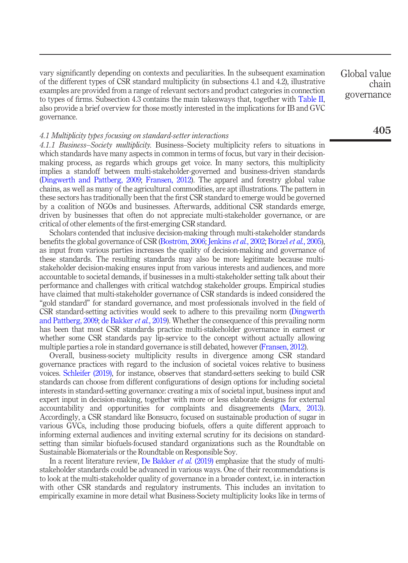vary significantly depending on contexts and peculiarities. In the subsequent examination of the different types of CSR standard multiplicity (in subsections 4.1 and 4.2), illustrative examples are provided from a range of relevant sectors and product categories in connection to types of firms. Subsection 4.3 contains the main takeaways that, together with [Table II](#page-8-0), also provide a brief overview for those mostly interested in the implications for IB and GVC governance.

#### 4.1 Multiplicity types focusing on standard-setter interactions

4.1.1 Business–Society multiplicity. Business–Society multiplicity refers to situations in which standards have many aspects in common in terms of focus, but vary in their decisionmaking process, as regards which groups get voice. In many sectors, this multiplicity implies a standoff between multi-stakeholder-governed and business-driven standards [\(Dingwerth and Pattberg, 2009](#page-21-7); [Fransen, 2012](#page-21-2)). The apparel and forestry global value chains, as well as many of the agricultural commodities, are apt illustrations. The pattern in these sectors has traditionally been that the first CSR standard to emerge would be governed by a coalition of NGOs and businesses. Afterwards, additional CSR standards emerge, driven by businesses that often do not appreciate multi-stakeholder governance, or are critical of other elements of the first-emerging CSR standard.

Scholars contended that inclusive decision-making through multi-stakeholder standards benefits the global governance of CSR [\(Boström, 2006](#page-20-11); [Jenkins](#page-22-12) *et al.*, 2002; [Börzel](#page-20-15) *et al.*, 2005), as input from various parties increases the quality of decision-making and governance of these standards. The resulting standards may also be more legitimate because multistakeholder decision-making ensures input from various interests and audiences, and more accountable to societal demands, if businesses in a multi-stakeholder setting talk about their performance and challenges with critical watchdog stakeholder groups. Empirical studies have claimed that multi-stakeholder governance of CSR standards is indeed considered the "gold standard" for standard governance, and most professionals involved in the field of CSR standard-setting activities would seek to adhere to this prevailing norm [\(Dingwerth](#page-21-7) [and Pattberg, 2009;](#page-21-7) [de Bakker](#page-20-10) *et al.*, 2019). Whether the consequence of this prevailing norm has been that most CSR standards practice multi-stakeholder governance in earnest or whether some CSR standards pay lip-service to the concept without actually allowing multiple parties a role in standard governance is still debated, however [\(Fransen, 2012](#page-21-2)).

Overall, business-society multiplicity results in divergence among CSR standard governance practices with regard to the inclusion of societal voices relative to business voices. [Schleifer \(2019\)](#page-24-12), for instance, observes that standard-setters seeking to build CSR standards can choose from different configurations of design options for including societal interests in standard-setting governance: creating a mix of societal input, business input and expert input in decision-making, together with more or less elaborate designs for external accountability and opportunities for complaints and disagreements [\(Marx, 2013\)](#page-23-6). Accordingly, a CSR standard like Bonsucro, focused on sustainable production of sugar in various GVCs, including those producing biofuels, offers a quite different approach to informing external audiences and inviting external scrutiny for its decisions on standardsetting than similar biofuels-focused standard organizations such as the Roundtable on Sustainable Biomaterials or the Roundtable on Responsible Soy.

In a recent literature review, [De Bakker](#page-20-10) *et al.* (2019) emphasize that the study of multistakeholder standards could be advanced in various ways. One of their recommendations is to look at the multi-stakeholder quality of governance in a broader context, i.e. in interaction with other CSR standards and regulatory instruments. This includes an invitation to empirically examine in more detail what Business-Society multiplicity looks like in terms of Global value chain governance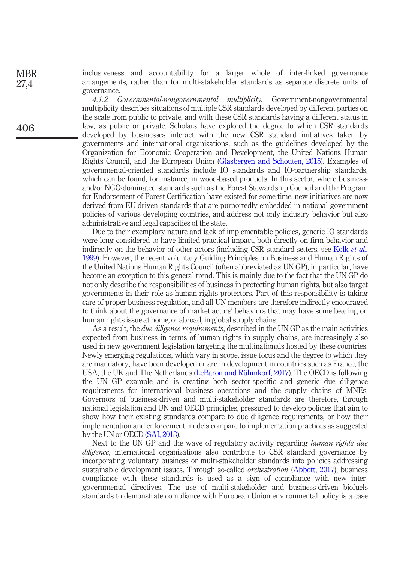inclusiveness and accountability for a larger whole of inter-linked governance arrangements, rather than for multi-stakeholder standards as separate discrete units of governance.

4.1.2 Governmental-nongovernmental multiplicity. Government-nongovernmental multiplicity describes situations of multiple CSR standards developed by different parties on the scale from public to private, and with these CSR standards having a different status in law, as public or private. Scholars have explored the degree to which CSR standards developed by businesses interact with the new CSR standard initiatives taken by governments and international organizations, such as the guidelines developed by the Organization for Economic Cooperation and Development, the United Nations Human Rights Council, and the European Union [\(Glasbergen and Schouten, 2015](#page-21-8)). Examples of governmental-oriented standards include IO standards and IO-partnership standards, which can be found, for instance, in wood-based products. In this sector, where businessand/or NGO-dominated standards such as the Forest Stewardship Council and the Program for Endorsement of Forest Certification have existed for some time, new initiatives are now derived from EU-driven standards that are purportedly embedded in national government policies of various developing countries, and address not only industry behavior but also administrative and legal capacities of the state.

Due to their exemplary nature and lack of implementable policies, generic IO standards were long considered to have limited practical impact, both directly on firm behavior and indirectly on the behavior of other actors (including CSR standard-setters, see Kolk *[et al.](#page-22-1)*, [1999](#page-22-1)). However, the recent voluntary Guiding Principles on Business and Human Rights of the United Nations Human Rights Council (often abbreviated as UN GP), in particular, have become an exception to this general trend. This is mainly due to the fact that the UN GP do not only describe the responsibilities of business in protecting human rights, but also target governments in their role as human rights protectors. Part of this responsibility is taking care of proper business regulation, and all UN members are therefore indirectly encouraged to think about the governance of market actors' behaviors that may have some bearing on human rights issue at home, or abroad, in global supply chains.

As a result, the *due diligence requirements*, described in the UN GP as the main activities expected from business in terms of human rights in supply chains, are increasingly also used in new government legislation targeting the multinationals hosted by these countries. Newly emerging regulations, which vary in scope, issue focus and the degree to which they are mandatory, have been developed or are in development in countries such as France, the USA, the UK and The Netherlands [\(LeBaron and Rühmkorf, 2017](#page-23-8)). The OECD is following the UN GP example and is creating both sector-specific and generic due diligence requirements for international business operations and the supply chains of MNEs. Governors of business-driven and multi-stakeholder standards are therefore, through national legislation and UN and OECD principles, pressured to develop policies that aim to show how their existing standards compare to due diligence requirements, or how their implementation and enforcement models compare to implementation practices as suggested by the UN or OECD ([SAI, 2013](#page-24-13)).

Next to the UN GP and the wave of regulatory activity regarding human rights due diligence, international organizations also contribute to CSR standard governance by incorporating voluntary business or multi-stakeholder standards into policies addressing sustainable development issues. Through so-called *orchestration* ([Abbott, 2017](#page-20-16)), business compliance with these standards is used as a sign of compliance with new intergovernmental directives. The use of multi-stakeholder and business-driven biofuels standards to demonstrate compliance with European Union environmental policy is a case

406

**MBR** 27,4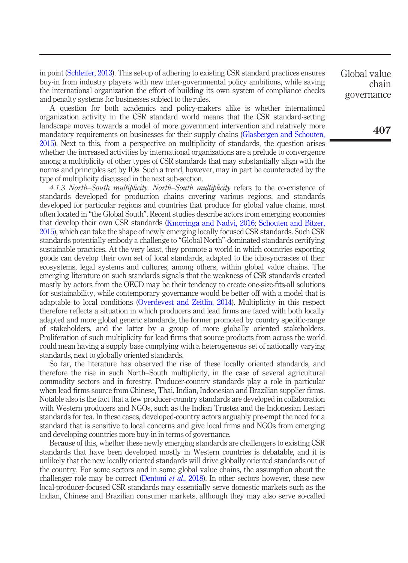in point [\(Schleifer, 2013\)](#page-24-14). This set-up of adhering to existing CSR standard practices ensures buy-in from industry players with new inter-governmental policy ambitions, while saving the international organization the effort of building its own system of compliance checks and penalty systems for businesses subject to the rules.

A question for both academics and policy-makers alike is whether international organization activity in the CSR standard world means that the CSR standard-setting landscape moves towards a model of more government intervention and relatively more mandatory requirements on businesses for their supply chains [\(Glasbergen and Schouten,](#page-21-8) [2015\)](#page-21-8). Next to this, from a perspective on multiplicity of standards, the question arises whether the increased activities by international organizations are a prelude to convergence among a multiplicity of other types of CSR standards that may substantially align with the norms and principles set by IOs. Such a trend, however, may in part be counteracted by the type of multiplicity discussed in the next sub-section.

4.1.3 North–South multiplicity. North–South multiplicity refers to the co-existence of standards developed for production chains covering various regions, and standards developed for particular regions and countries that produce for global value chains, most often located in "the Global South". Recent studies describe actors from emerging economies that develop their own CSR standards [\(Knorringa and Nadvi, 2016;](#page-22-13) [Schouten and Bitzer,](#page-24-2) [2015\)](#page-24-2), which can take the shape of newly emerging locally focused CSR standards. Such CSR standards potentially embody a challenge to "Global North"-dominated standards certifying sustainable practices. At the very least, they promote a world in which countries exporting goods can develop their own set of local standards, adapted to the idiosyncrasies of their ecosystems, legal systems and cultures, among others, within global value chains. The emerging literature on such standards signals that the weakness of CSR standards created mostly by actors from the OECD may be their tendency to create one-size-fits-all solutions for sustainability, while contemporary governance would be better off with a model that is adaptable to local conditions [\(Overdevest and Zeitlin, 2014](#page-23-7)). Multiplicity in this respect therefore reflects a situation in which producers and lead firms are faced with both locally adapted and more global generic standards, the former promoted by country specific-range of stakeholders, and the latter by a group of more globally oriented stakeholders. Proliferation of such multiplicity for lead firms that source products from across the world could mean having a supply base complying with a heterogeneous set of nationally varying standards, next to globally oriented standards.

So far, the literature has observed the rise of these locally oriented standards, and therefore the rise in such North–South multiplicity, in the case of several agricultural commodity sectors and in forestry. Producer-country standards play a role in particular when lead firms source from Chinese, Thai, Indian, Indonesian and Brazilian supplier firms. Notable also is the fact that a few producer-country standards are developed in collaboration with Western producers and NGOs, such as the Indian Trustea and the Indonesian Lestari standards for tea. In these cases, developed-country actors arguably pre-empt the need for a standard that is sensitive to local concerns and give local firms and NGOs from emerging and developing countries more buy-in in terms of governance.

Because of this, whether these newly emerging standards are challengers to existing CSR standards that have been developed mostly in Western countries is debatable, and it is unlikely that the new locally oriented standards will drive globally oriented standards out of the country. For some sectors and in some global value chains, the assumption about the challenger role may be correct [\(Dentoni](#page-20-4) *et al.*, 2018). In other sectors however, these new local-producer-focused CSR standards may essentially serve domestic markets such as the Indian, Chinese and Brazilian consumer markets, although they may also serve so-called Global value chain governance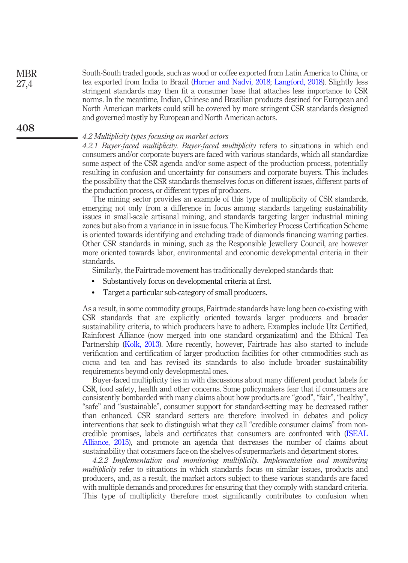South-South traded goods, such as wood or coffee exported from Latin America to China, or tea exported from India to Brazil ([Horner and Nadvi, 2018;](#page-22-14) [Langford, 2018](#page-23-9)). Slightly less stringent standards may then fit a consumer base that attaches less importance to CSR norms. In the meantime, Indian, Chinese and Brazilian products destined for European and North American markets could still be covered by more stringent CSR standards designed and governed mostly by European and North American actors.

#### 4.2 Multiplicity types focusing on market actors

4.2.1 Buyer-faced multiplicity. Buyer-faced multiplicity refers to situations in which end consumers and/or corporate buyers are faced with various standards, which all standardize some aspect of the CSR agenda and/or some aspect of the production process, potentially resulting in confusion and uncertainty for consumers and corporate buyers. This includes the possibility that the CSR standards themselves focus on different issues, different parts of the production process, or different types of producers.

The mining sector provides an example of this type of multiplicity of CSR standards, emerging not only from a difference in focus among standards targeting sustainability issues in small-scale artisanal mining, and standards targeting larger industrial mining zones but also from a variance in in issue focus. The Kimberley Process Certification Scheme is oriented towards identifying and excluding trade of diamonds financing warring parties. Other CSR standards in mining, such as the Responsible Jewellery Council, are however more oriented towards labor, environmental and economic developmental criteria in their standards.

Similarly, the Fairtrade movement has traditionally developed standards that:

- Substantively focus on developmental criteria at first.
- Target a particular sub-category of small producers.

As a result, in some commodity groups, Fairtrade standards have long been co-existing with CSR standards that are explicitly oriented towards larger producers and broader sustainability criteria, to which producers have to adhere. Examples include Utz Certified, Rainforest Alliance (now merged into one standard organization) and the Ethical Tea Partnership ([Kolk, 2013\)](#page-22-15). More recently, however, Fairtrade has also started to include verification and certification of larger production facilities for other commodities such as cocoa and tea and has revised its standards to also include broader sustainability requirements beyond only developmental ones.

Buyer-faced multiplicity ties in with discussions about many different product labels for CSR, food safety, health and other concerns. Some policymakers fear that if consumers are consistently bombarded with many claims about how products are "good", "fair", "healthy", "safe" and "sustainable", consumer support for standard-setting may be decreased rather than enhanced. CSR standard setters are therefore involved in debates and policy interventions that seek to distinguish what they call "credible consumer claims" from noncredible promises, labels and certificates that consumers are confronted with [\(ISEAL](#page-22-16) [Alliance, 2015\)](#page-22-16), and promote an agenda that decreases the number of claims about sustainability that consumers face on the shelves of supermarkets and department stores.

4.2.2 Implementation and monitoring multiplicity. Implementation and monitoring multiplicity refer to situations in which standards focus on similar issues, products and producers, and, as a result, the market actors subject to these various standards are faced with multiple demands and procedures for ensuring that they comply with standard criteria. This type of multiplicity therefore most significantly contributes to confusion when

408

**MBR** 27,4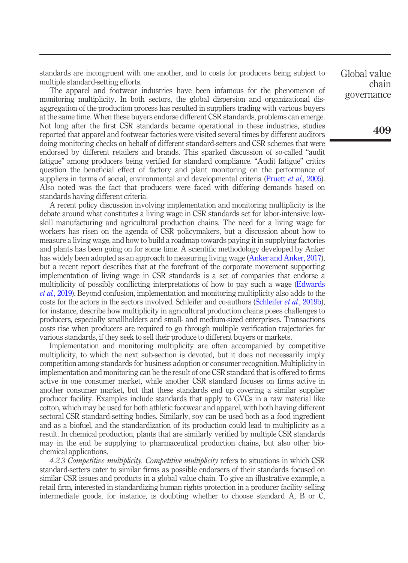standards are incongruent with one another, and to costs for producers being subject to multiple standard-setting efforts.

The apparel and footwear industries have been infamous for the phenomenon of monitoring multiplicity. In both sectors, the global dispersion and organizational disaggregation of the production process has resulted in suppliers trading with various buyers at the same time. When these buyers endorse different CSR standards, problems can emerge. Not long after the first CSR standards became operational in these industries, studies reported that apparel and footwear factories were visited several times by different auditors doing monitoring checks on behalf of different standard-setters and CSR schemes that were endorsed by different retailers and brands. This sparked discussion of so-called "audit fatigue" among producers being verified for standard compliance. "Audit fatigue" critics question the beneficial effect of factory and plant monitoring on the performance of suppliers in terms of social, environmental and developmental criteria ([Pruett](#page-23-10) *et al.*, 2005). Also noted was the fact that producers were faced with differing demands based on standards having different criteria.

A recent policy discussion involving implementation and monitoring multiplicity is the debate around what constitutes a living wage in CSR standards set for labor-intensive lowskill manufacturing and agricultural production chains. The need for a living wage for workers has risen on the agenda of CSR policymakers, but a discussion about how to measure a living wage, and how to build a roadmap towards paying it in supplying factories and plants has been going on for some time. A scientific methodology developed by Anker has widely been adopted as an approach to measuring living wage [\(Anker and Anker, 2017\)](#page-20-17), but a recent report describes that at the forefront of the corporate movement supporting implementation of living wage in CSR standards is a set of companies that endorse a multiplicity of possibly conflicting interpretations of how to pay such a wage ([Edwards](#page-21-9) et al.[, 2019](#page-21-9)). Beyond confusion, implementation and monitoring multiplicity also adds to the costs for the actors in the sectors involved. Schleifer and co-authors [\(Schleifer](#page-24-10) *et al.*, 2019b), for instance, describe how multiplicity in agricultural production chains poses challenges to producers, especially smallholders and small- and medium-sized enterprises. Transactions costs rise when producers are required to go through multiple verification trajectories for various standards, if they seek to sell their produce to different buyers or markets.

Implementation and monitoring multiplicity are often accompanied by competitive multiplicity, to which the next sub-section is devoted, but it does not necessarily imply competition among standards for business adoption or consumer recognition. Multiplicity in implementation and monitoring can be the result of one CSR standard that is offered to firms active in one consumer market, while another CSR standard focuses on firms active in another consumer market, but that these standards end up covering a similar supplier producer facility. Examples include standards that apply to GVCs in a raw material like cotton, which may be used for both athletic footwear and apparel, with both having different sectoral CSR standard-setting bodies. Similarly, soy can be used both as a food ingredient and as a biofuel, and the standardization of its production could lead to multiplicity as a result. In chemical production, plants that are similarly verified by multiple CSR standards may in the end be supplying to pharmaceutical production chains, but also other biochemical applications.

4.2.3 Competitive multiplicity. Competitive multiplicity refers to situations in which CSR standard-setters cater to similar firms as possible endorsers of their standards focused on similar CSR issues and products in a global value chain. To give an illustrative example, a retail firm, interested in standardizing human rights protection in a producer facility selling intermediate goods, for instance, is doubting whether to choose standard A, B or C, Global value chain governance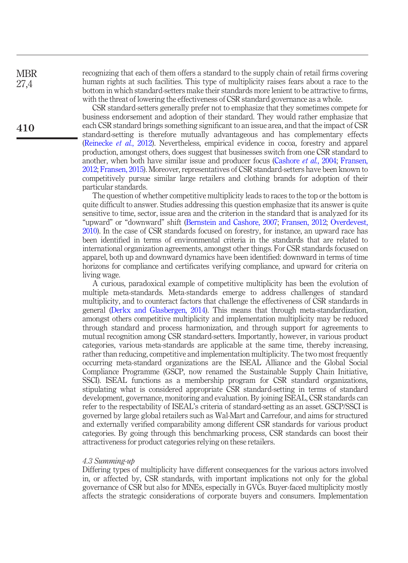**MBR** 27,4

410

recognizing that each of them offers a standard to the supply chain of retail firms covering human rights at such facilities. This type of multiplicity raises fears about a race to the bottom in which standard-setters make their standards more lenient to be attractive to firms, with the threat of lowering the effectiveness of CSR standard governance as a whole.

CSR standard-setters generally prefer not to emphasize that they sometimes compete for business endorsement and adoption of their standard. They would rather emphasize that each CSR standard brings something significant to an issue area, and that the impact of CSR standard-setting is therefore mutually advantageous and has complementary effects [\(Reinecke](#page-24-1) et al., 2012). Nevertheless, empirical evidence in cocoa, forestry and apparel production, amongst others, does suggest that businesses switch from one CSR standard to another, when both have similar issue and producer focus [\(Cashore](#page-20-7) et al., 2004; [Fransen,](#page-21-2) [2012](#page-21-2); [Fransen, 2015\)](#page-21-6). Moreover, representatives of CSR standard-setters have been known to competitively pursue similar large retailers and clothing brands for adoption of their particular standards.

The question of whether competitive multiplicity leads to races to the top or the bottom is quite difficult to answer. Studies addressing this question emphasize that its answer is quite sensitive to time, sector, issue area and the criterion in the standard that is analyzed for its "upward" or "downward" shift [\(Bernstein and Cashore, 2007;](#page-20-14) [Fransen, 2012;](#page-21-2) [Overdevest,](#page-23-3) [2010](#page-23-3)). In the case of CSR standards focused on forestry, for instance, an upward race has been identified in terms of environmental criteria in the standards that are related to international organization agreements, amongst other things. For CSR standards focused on apparel, both up and downward dynamics have been identified: downward in terms of time horizons for compliance and certificates verifying compliance, and upward for criteria on living wage.

A curious, paradoxical example of competitive multiplicity has been the evolution of multiple meta-standards. Meta-standards emerge to address challenges of standard multiplicity, and to counteract factors that challenge the effectiveness of CSR standards in general ([Derkx and Glasbergen, 2014](#page-20-18)). This means that through meta-standardization, amongst others competitive multiplicity and implementation multiplicity may be reduced through standard and process harmonization, and through support for agreements to mutual recognition among CSR standard-setters. Importantly, however, in various product categories, various meta-standards are applicable at the same time, thereby increasing, rather than reducing, competitive and implementation multiplicity. The two most frequently occurring meta-standard organizations are the ISEAL Alliance and the Global Social Compliance Programme (GSCP, now renamed the Sustainable Supply Chain Initiative, SSCI). ISEAL functions as a membership program for CSR standard organizations, stipulating what is considered appropriate CSR standard-setting in terms of standard development, governance, monitoring and evaluation. By joining ISEAL, CSR standards can refer to the respectability of ISEAL's criteria of standard-setting as an asset. GSCP/SSCI is governed by large global retailers such as Wal-Mart and Carrefour, and aims for structured and externally verified comparability among different CSR standards for various product categories. By going through this benchmarking process, CSR standards can boost their attractiveness for product categories relying on these retailers.

#### 4.3 Summing-up

Differing types of multiplicity have different consequences for the various actors involved in, or affected by, CSR standards, with important implications not only for the global governance of CSR but also for MNEs, especially in GVCs. Buyer-faced multiplicity mostly affects the strategic considerations of corporate buyers and consumers. Implementation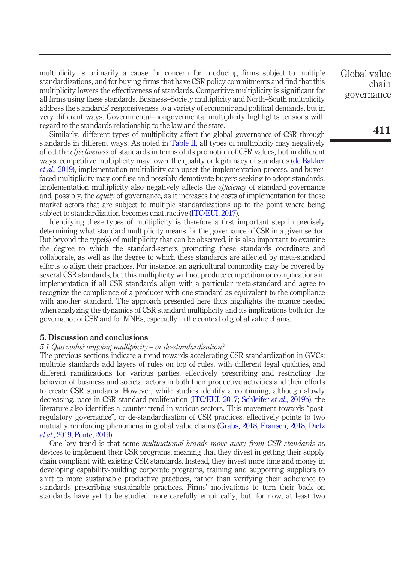multiplicity is primarily a cause for concern for producing firms subject to multiple standardizations, and for buying firms that have CSR policy commitments and find that this multiplicity lowers the effectiveness of standards. Competitive multiplicity is significant for all firms using these standards. Business–Society multiplicity and North–South multiplicity address the standards' responsiveness to a variety of economic and political demands, but in very different ways. Governmental–nongovermental multiplicity highlights tensions with regard to the standards relationship to the law and the state.

Similarly, different types of multiplicity affect the global governance of CSR through standards in different ways. As noted in [Table II,](#page-8-0) all types of multiplicity may negatively affect the *effectiveness* of standards in terms of its promotion of CSR values, but in different ways: competitive multiplicity may lower the quality or legitimacy of standards ([de Bakker](#page-20-10) et al.[, 2019\)](#page-20-10), implementation multiplicity can upset the implementation process, and buyerfaced multiplicity may confuse and possibly demotivate buyers seeking to adopt standards. Implementation multiplicity also negatively affects the *efficiency* of standard governance and, possibly, the *equity* of governance, as it increases the costs of implementation for those market actors that are subject to multiple standardizations up to the point where being subject to standardization becomes unattractive [\(ITC/EUI, 2017](#page-22-11)).

Identifying these types of multiplicity is therefore a first important step in precisely determining what standard multiplicity means for the governance of CSR in a given sector. But beyond the type(s) of multiplicity that can be observed, it is also important to examine the degree to which the standard-setters promoting these standards coordinate and collaborate, as well as the degree to which these standards are affected by meta-standard efforts to align their practices. For instance, an agricultural commodity may be covered by several CSR standards, but this multiplicity will not produce competition or complications in implementation if all CSR standards align with a particular meta-standard and agree to recognize the compliance of a producer with one standard as equivalent to the compliance with another standard. The approach presented here thus highlights the nuance needed when analyzing the dynamics of CSR standard multiplicity and its implications both for the governance of CSR and for MNEs, especially in the context of global value chains.

#### 5. Discussion and conclusions

#### 5.1 Quo vadis? ongoing multiplicity – or de-standardization?

The previous sections indicate a trend towards accelerating CSR standardization in GVCs: multiple standards add layers of rules on top of rules, with different legal qualities, and different ramifications for various parties, effectively prescribing and restricting the behavior of business and societal actors in both their productive activities and their efforts to create CSR standards. However, while studies identify a continuing, although slowly decreasing, pace in CSR standard proliferation [\(ITC/EUI, 2017;](#page-22-11) [Schleifer](#page-24-10) *et al.*, 2019b), the literature also identifies a counter-trend in various sectors. This movement towards "postregulatory governance", or de-standardization of CSR practices, effectively points to two mutually reinforcing phenomena in global value chains [\(Grabs, 2018;](#page-21-10) [Fransen, 2018;](#page-21-11) [Dietz](#page-21-12) et al.[, 2019](#page-21-12); [Ponte, 2019](#page-23-11)).

One key trend is that some multinational brands move away from CSR standards as devices to implement their CSR programs, meaning that they divest in getting their supply chain compliant with existing CSR standards. Instead, they invest more time and money in developing capability-building corporate programs, training and supporting suppliers to shift to more sustainable productive practices, rather than verifying their adherence to standards prescribing sustainable practices. Firms' motivations to turn their back on standards have yet to be studied more carefully empirically, but, for now, at least two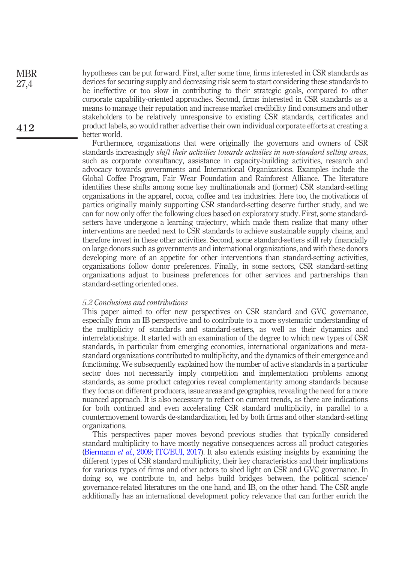hypotheses can be put forward. First, after some time, firms interested in CSR standards as devices for securing supply and decreasing risk seem to start considering these standards to be ineffective or too slow in contributing to their strategic goals, compared to other corporate capability-oriented approaches. Second, firms interested in CSR standards as a means to manage their reputation and increase market credibility find consumers and other stakeholders to be relatively unresponsive to existing CSR standards, certificates and product labels, so would rather advertise their own individual corporate efforts at creating a better world.

> Furthermore, organizations that were originally the governors and owners of CSR standards increasingly shift their activities towards activities in non-standard setting areas, such as corporate consultancy, assistance in capacity-building activities, research and advocacy towards governments and International Organizations. Examples include the Global Coffee Program, Fair Wear Foundation and Rainforest Alliance. The literature identifies these shifts among some key multinationals and (former) CSR standard-setting organizations in the apparel, cocoa, coffee and tea industries. Here too, the motivations of parties originally mainly supporting CSR standard-setting deserve further study, and we can for now only offer the following clues based on exploratory study. First, some standardsetters have undergone a learning trajectory, which made them realize that many other interventions are needed next to CSR standards to achieve sustainable supply chains, and therefore invest in these other activities. Second, some standard-setters still rely financially on large donors such as governments and international organizations, and with these donors developing more of an appetite for other interventions than standard-setting activities, organizations follow donor preferences. Finally, in some sectors, CSR standard-setting organizations adjust to business preferences for other services and partnerships than standard-setting oriented ones.

### 5.2 Conclusions and contributions

**MBR** 27,4

412

This paper aimed to offer new perspectives on CSR standard and GVC governance, especially from an IB perspective and to contribute to a more systematic understanding of the multiplicity of standards and standard-setters, as well as their dynamics and interrelationships. It started with an examination of the degree to which new types of CSR standards, in particular from emerging economies, international organizations and metastandard organizations contributed to multiplicity, and the dynamics of their emergence and functioning. We subsequently explained how the number of active standards in a particular sector does not necessarily imply competition and implementation problems among standards, as some product categories reveal complementarity among standards because they focus on different producers, issue areas and geographies, revealing the need for a more nuanced approach. It is also necessary to reflect on current trends, as there are indications for both continued and even accelerating CSR standard multiplicity, in parallel to a countermovement towards de-standardization, led by both firms and other standard-setting organizations.

This perspectives paper moves beyond previous studies that typically considered standard multiplicity to have mostly negative consequences across all product categories [\(Biermann](#page-20-5) et al., 2009; [ITC/EUI, 2017](#page-22-11)). It also extends existing insights by examining the different types of CSR standard multiplicity, their key characteristics and their implications for various types of firms and other actors to shed light on CSR and GVC governance. In doing so, we contribute to, and helps build bridges between, the political science/ governance-related literatures on the one hand, and IB, on the other hand. The CSR angle additionally has an international development policy relevance that can further enrich the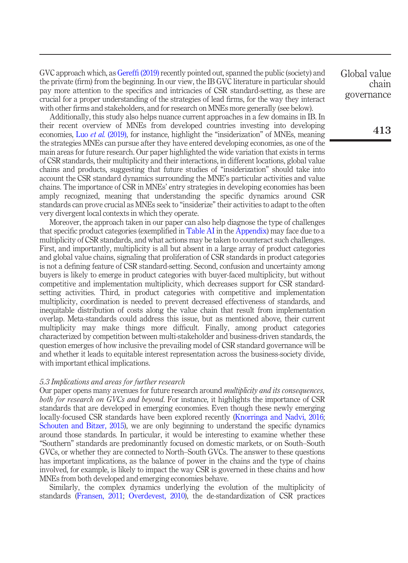GVC approach which, as Gereffi [\(2019\)](#page-21-13) recently pointed out, spanned the public (society) and the private (firm) from the beginning. In our view, the IB GVC literature in particular should pay more attention to the specifics and intricacies of CSR standard-setting, as these are crucial for a proper understanding of the strategies of lead firms, for the way they interact with other firms and stakeholders, and for research on MNEs more generally (see below).

Additionally, this study also helps nuance current approaches in a few domains in IB. In their recent overview of MNEs from developed countries investing into developing economies, Luo et al. [\(2019\),](#page-23-12) for instance, highlight the "insiderization" of MNEs, meaning the strategies MNEs can pursue after they have entered developing economies, as one of the main areas for future research. Our paper highlighted the wide variation that exists in terms of CSR standards, their multiplicity and their interactions, in different locations, global value chains and products, suggesting that future studies of "insiderization" should take into account the CSR standard dynamics surrounding the MNE's particular activities and value chains. The importance of CSR in MNEs' entry strategies in developing economies has been amply recognized, meaning that understanding the specific dynamics around CSR standards can prove crucial as MNEs seek to "insiderize" their activities to adapt to the often very divergent local contexts in which they operate.

Moreover, the approach taken in our paper can also help diagnose the type of challenges that specific product categories (exemplified in [Table AI](#page-26-0) in the Appendix) may face due to a multiplicity of CSR standards, and what actions may be taken to counteract such challenges. First, and importantly, multiplicity is all but absent in a large array of product categories and global value chains, signaling that proliferation of CSR standards in product categories is not a defining feature of CSR standard-setting. Second, confusion and uncertainty among buyers is likely to emerge in product categories with buyer-faced multiplicity, but without competitive and implementation multiplicity, which decreases support for CSR standardsetting activities. Third, in product categories with competitive and implementation multiplicity, coordination is needed to prevent decreased effectiveness of standards, and inequitable distribution of costs along the value chain that result from implementation overlap. Meta-standards could address this issue, but as mentioned above, their current multiplicity may make things more difficult. Finally, among product categories characterized by competition between multi-stakeholder and business-driven standards, the question emerges of how inclusive the prevailing model of CSR standard governance will be and whether it leads to equitable interest representation across the business-society divide, with important ethical implications.

## 5.3 Implications and areas for further research

Our paper opens many avenues for future research around *multiplicity and its consequences*, both for research on GVCs and beyond. For instance, it highlights the importance of CSR standards that are developed in emerging economies. Even though these newly emerging locally-focused CSR standards have been explored recently [\(Knorringa and Nadvi, 2016](#page-22-13); [Schouten and Bitzer, 2015](#page-24-2)), we are only beginning to understand the specific dynamics around those standards. In particular, it would be interesting to examine whether these "Southern" standards are predominantly focused on domestic markets, or on South–South GVCs, or whether they are connected to North–South GVCs. The answer to these questions has important implications, as the balance of power in the chains and the type of chains involved, for example, is likely to impact the way CSR is governed in these chains and how MNEs from both developed and emerging economies behave.

Similarly, the complex dynamics underlying the evolution of the multiplicity of standards [\(Fransen, 2011;](#page-21-1) [Overdevest, 2010\)](#page-23-3), the de-standardization of CSR practices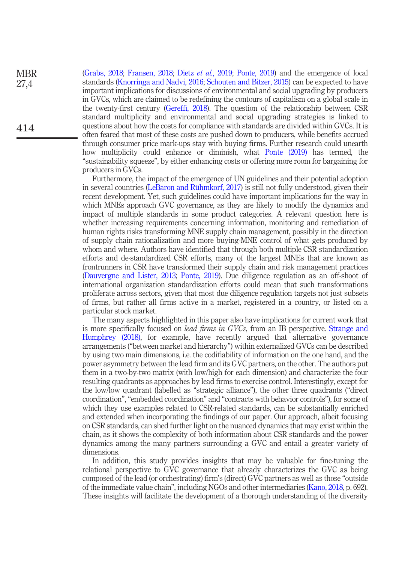[\(Grabs, 2018;](#page-21-10) [Fransen, 2018;](#page-21-11) Dietz et al.[, 2019;](#page-21-12) [Ponte, 2019\)](#page-23-11) and the emergence of local standards [\(Knorringa and Nadvi, 2016;](#page-22-13) [Schouten and Bitzer, 2015](#page-24-2)) can be expected to have important implications for discussions of environmental and social upgrading by producers in GVCs, which are claimed to be redefining the contours of capitalism on a global scale in the twenty-first century (Gereffi[, 2018\)](#page-21-14). The question of the relationship between CSR standard multiplicity and environmental and social upgrading strategies is linked to questions about how the costs for compliance with standards are divided within GVCs. It is often feared that most of these costs are pushed down to producers, while benefits accrued through consumer price mark-ups stay with buying firms. Further research could unearth how multiplicity could enhance or diminish, what [Ponte \(2019\)](#page-23-11) has termed, the "sustainability squeeze", by either enhancing costs or offering more room for bargaining for producers in GVCs.

Furthermore, the impact of the emergence of UN guidelines and their potential adoption in several countries ([LeBaron and Rühmkorf, 2017](#page-23-8)) is still not fully understood, given their recent development. Yet, such guidelines could have important implications for the way in which MNEs approach GVC governance, as they are likely to modify the dynamics and impact of multiple standards in some product categories. A relevant question here is whether increasing requirements concerning information, monitoring and remediation of human rights risks transforming MNE supply chain management, possibly in the direction of supply chain rationalization and more buying-MNE control of what gets produced by whom and where. Authors have identified that through both multiple CSR standardization efforts and de-standardized CSR efforts, many of the largest MNEs that are known as frontrunners in CSR have transformed their supply chain and risk management practices [\(Dauvergne and Lister, 2013;](#page-20-19) [Ponte, 2019](#page-23-11)). Due diligence regulation as an off-shoot of international organization standardization efforts could mean that such transformations proliferate across sectors, given that most due diligence regulation targets not just subsets of firms, but rather all firms active in a market, registered in a country, or listed on a particular stock market.

The many aspects highlighted in this paper also have implications for current work that is more specifically focused on *lead firms in GVCs*, from an IB perspective. [Strange and](#page-24-4) [Humphrey \(2018\),](#page-24-4) for example, have recently argued that alternative governance arrangements ("between market and hierarchy") within externalized GVCs can be described by using two main dimensions, i.e. the codifiability of information on the one hand, and the power asymmetry between the lead firm and its GVC partners, on the other. The authors put them in a two-by-two matrix (with low/high for each dimension) and characterize the four resulting quadrants as approaches by lead firms to exercise control. Interestingly, except for the low/low quadrant (labelled as "strategic alliance"), the other three quadrants ("direct coordination", "embedded coordination" and "contracts with behavior controls"), for some of which they use examples related to CSR-related standards, can be substantially enriched and extended when incorporating the findings of our paper. Our approach, albeit focusing on CSR standards, can shed further light on the nuanced dynamics that may exist within the chain, as it shows the complexity of both information about CSR standards and the power dynamics among the many partners surrounding a GVC and entail a greater variety of dimensions.

In addition, this study provides insights that may be valuable for fine-tuning the relational perspective to GVC governance that already characterizes the GVC as being composed of the lead (or orchestrating) firm's (direct) GVC partners as well as those "outside of the immediate value chain", including NGOs and other intermediaries [\(Kano, 2018,](#page-22-8) p. 692). These insights will facilitate the development of a thorough understanding of the diversity

414

**MBR** 27,4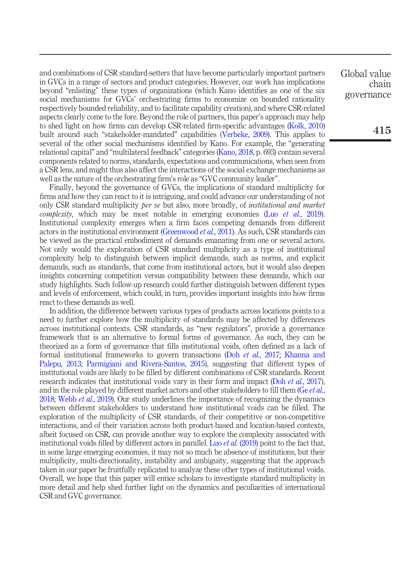and combinations of CSR standard-setters that have become particularly important partners in GVCs in a range of sectors and product categories. However, our work has implications beyond "enlisting" these types of organizations (which Kano identifies as one of the six social mechanisms for GVCs' orchestrating firms to economize on bounded rationality respectively bounded reliability, and to facilitate capability creation), and where CSR-related aspects clearly come to the fore. Beyond the role of partners, this paper's approach may help to shed light on how firms can develop CSR-related firm-specific advantages ([Kolk, 2010\)](#page-22-17) built around such "stakeholder-mandated" capabilities ([Verbeke, 2009\)](#page-24-15). This applies to several of the other social mechanisms identified by Kano. For example, the "generating relational capital" and "multilateral feedback" categories [\(Kano, 2018,](#page-22-8) p. 693) contain several components related to norms, standards, expectations and communications, when seen from a CSR lens, and might thus also affect the interactions of the social exchange mechanisms as well as the nature of the orchestrating firm's role as "GVC community leader".

Finally, beyond the governance of GVCs, the implications of standard multiplicity for firms and how they can react to it is intriguing, and could advance our understanding of not only CSR standard multiplicity *ber se* but also, more broadly, of *institutional and market* complexity, which may be most notable in emerging economies (Luo et al.[, 2019\)](#page-23-12). Institutional complexity emerges when a firm faces competing demands from different actors in the institutional environment ([Greenwood](#page-22-18) *et al.*, 2011). As such, CSR standards can be viewed as the practical embodiment of demands emanating from one or several actors. Not only would the exploration of CSR standard multiplicity as a type of institutional complexity help to distinguish between implicit demands, such as norms, and explicit demands, such as standards, that come from institutional actors, but it would also deepen insights concerning competition versus compatibility between these demands, which our study highlights. Such follow-up research could further distinguish between different types and levels of enforcement, which could, in turn, provides important insights into how firms react to these demands as well.

In addition, the difference between various types of products across locations points to a need to further explore how the multiplicity of standards may be affected by differences across institutional contexts. CSR standards, as "new regulators", provide a governance framework that is an alternative to formal forms of governance. As such, they can be theorized as a form of governance that fills institutional voids, often defined as a lack of formal institutional frameworks to govern transactions (Doh et al.[, 2017](#page-21-15); [Khanna and](#page-22-19) [Palepu, 2013](#page-22-19); [Parmigiani and Rivera-Santos, 2015\)](#page-23-13), suggesting that different types of institutional voids are likely to be filled by different combinations of CSR standards. Recent research indicates that institutional voids vary in their form and impact (Doh et al.[, 2017\)](#page-21-15), and in the role played by different market actors and other stakeholders to fill them (Ge *[et al.](#page-21-16)*, [2018;](#page-21-16) [Webb](#page-24-16) *et al.*, 2019). Our study underlines the importance of recognizing the dynamics between different stakeholders to understand how institutional voids can be filled. The exploration of the multiplicity of CSR standards, of their competitive or non-competitive interactions, and of their variation across both product-based and location-based contexts, albeit focused on CSR, can provide another way to explore the complexity associated with institutional voids filled by different actors in parallel. Luo *et al.* [\(2019\)](#page-23-12) point to the fact that, in some large emerging economies, it may not so much be absence of institutions, but their multiplicity, multi-directionality, instability and ambiguity, suggesting that the approach taken in our paper be fruitfully replicated to analyze these other types of institutional voids. Overall, we hope that this paper will entice scholars to investigate standard multiplicity in more detail and help shed further light on the dynamics and peculiarities of international CSR and GVC governance.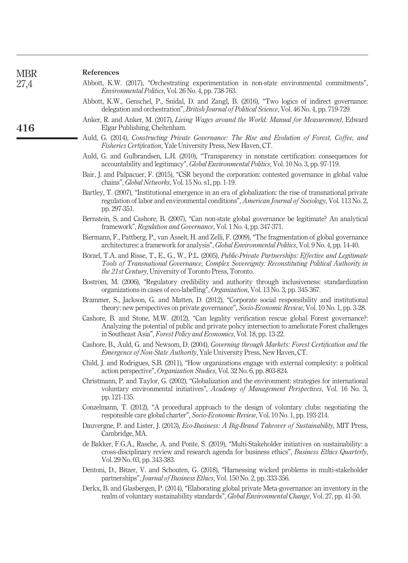<span id="page-20-20"></span><span id="page-20-19"></span><span id="page-20-18"></span><span id="page-20-17"></span><span id="page-20-16"></span><span id="page-20-15"></span><span id="page-20-14"></span><span id="page-20-13"></span><span id="page-20-12"></span><span id="page-20-11"></span><span id="page-20-10"></span><span id="page-20-9"></span><span id="page-20-8"></span><span id="page-20-7"></span><span id="page-20-6"></span><span id="page-20-5"></span><span id="page-20-4"></span><span id="page-20-3"></span><span id="page-20-2"></span><span id="page-20-1"></span><span id="page-20-0"></span>

| <b>MBR</b> | References                                                                                                                                                                                                                                                                    |
|------------|-------------------------------------------------------------------------------------------------------------------------------------------------------------------------------------------------------------------------------------------------------------------------------|
| 27,4       | Abbott, K.W. (2017), "Orchestrating experimentation in non-state environmental commitments",<br><i>Environmental Politics, Vol. 26 No. 4, pp. 738-763.</i>                                                                                                                    |
|            | Abbott, K.W., Genschel, P., Snidal, D. and Zangl, B. (2016), "Two logics of indirect governance:<br>delegation and orchestration", <i>British Journal of Political Science</i> , Vol. 46 No. 4, pp. 719-729.                                                                  |
| 416        | Anker, R. and Anker, M. (2017), Living Wages around the World: Manual for Measurement, Edward<br>Elgar Publishing, Cheltenham.                                                                                                                                                |
|            | Auld, G. (2014), Constructing Private Governance: The Rise and Evolution of Forest, Coffee, and<br><i>Fisheries Certification, Yale University Press, New Haven, CT.</i>                                                                                                      |
|            | Auld, G. and Gulbrandsen, L.H. (2010), "Transparency in nonstate certification: consequences for<br>accountability and legitimacy", Global Environmental Politics, Vol. 10 No. 3, pp. 97-119.                                                                                 |
|            | Bair, J. and Palpacuer, F. (2015), "CSR beyond the corporation: contested governance in global value<br>chains", <i>Global Networks</i> , Vol. 15 No. s1, pp. 1-19.                                                                                                           |
|            | Bartley, T. (2007), "Institutional emergence in an era of globalization: the rise of transnational private<br>regulation of labor and environmental conditions", American Journal of Sociology, Vol. 113 No. 2,<br>pp. 297-351.                                               |
|            | Bernstein, S. and Cashore, B. (2007), "Can non-state global governance be legitimate? An analytical<br>framework", Regulation and Governance, Vol. 1 No. 4, pp. 347-371.                                                                                                      |
|            | Biermann, F., Pattberg, P., van Asselt, H. and Zelli, F. (2009), "The fragmentation of global governance<br>architectures: a framework for analysis", <i>Global Environmental Politics</i> , Vol. 9 No. 4, pp. 14-40.                                                         |
|            | Börzel, T.A. and Risse, T., E., G., W., P.L. (2005), Public-Private Partnerships: Effective and Legitimate<br>Tools of Transnational Governance, Complex Sovereignty: Reconstituting Political Authority in<br>the 21st Century, University of Toronto Press, Toronto.        |
|            | Boström, M. (2006), "Regulatory credibility and authority through inclusiveness: standardization<br>organizations in cases of eco-labelling", Organization, Vol. 13 No. 3, pp. 345-367.                                                                                       |
|            | Brammer, S., Jackson, G. and Matten, D. (2012), "Corporate social responsibility and institutional<br>theory: new perspectives on private governance", Socio-Economic Review, Vol. 10 No. 1, pp. 3-28.                                                                        |
|            | Cashore, B. and Stone, M.W. (2012), "Can legality verification rescue global Forest governance?:<br>Analyzing the potential of public and private policy intersection to ameliorate Forest challenges<br>in Southeast Asia", Forest Policy and Economics, Vol. 18, pp. 13-22. |
|            | Cashore, B., Auld, G. and Newsom, D. (2004), Governing through Markets: Forest Certification and the<br><i>Emergence of Non-State Authority</i> , Yale University Press, New Haven, CT.                                                                                       |
|            | Child, J. and Rodrigues, S.B. (2011), "How organizations engage with external complexity: a political<br>action perspective", Organization Studies, Vol. 32 No. 6, pp. 803-824.                                                                                               |
|            | Christmann, P. and Taylor, G. (2002), "Globalization and the environment: strategies for international<br>voluntary environmental initiatives", Academy of Management Perspectives, Vol. 16 No. 3,<br>pp. 121-135.                                                            |
|            | Conzelmann, T. (2012), "A procedural approach to the design of voluntary clubs: negotiating the<br>responsible care global charter", Socio-Economic Review, Vol. 10 No. 1, pp. 193-214.                                                                                       |
|            | Dauvergne, P. and Lister, J. (2013), <i>Eco-Business: A Big-Brand Takeover of Sustainability</i> , MIT Press,<br>Cambridge, MA.                                                                                                                                               |
|            | de Bakker, F.G.A., Rasche, A. and Ponte, S. (2019), "Multi-Stakeholder initiatives on sustainability: a<br>cross-disciplinary review and research agenda for business ethics", Business Ethics Quarterly,<br>Vol. 29 No. 03, pp. 343-383.                                     |
|            | Dentoni, D., Bitzer, V. and Schouten, G. (2018), "Harnessing wicked problems in multi-stakeholder<br>partnerships", <i>Journal of Business Ethics</i> , Vol. 150 No. 2, pp. 333-356.                                                                                          |
|            | Derkx, B. and Glasbergen, P. (2014), "Elaborating global private Meta-governance: an inventory in the<br>realm of voluntary sustainability standards", <i>Global Environmental Change</i> , Vol. 27, pp. 41-50.                                                               |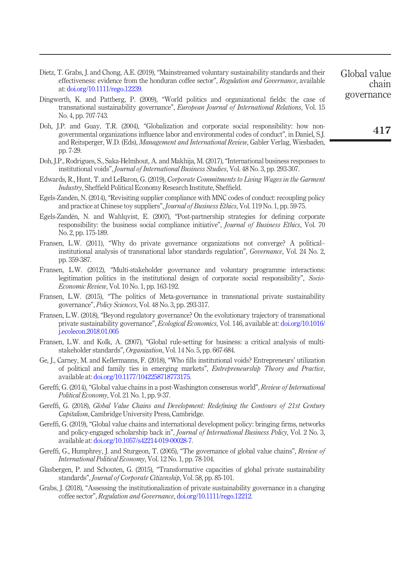- <span id="page-21-12"></span>Dietz, T. Grabs, J. and Chong, A.E. (2019), "Mainstreamed voluntary sustainability standards and their effectiveness: evidence from the honduran coffee sector", Regulation and Governance, available at: [doi.org/10.1111/rego.12239.](http://doi.org/10.1111/rego.12239)
- <span id="page-21-7"></span>Dingwerth, K. and Pattberg, P. (2009), "World politics and organizational fields: the case of transnational sustainability governance", European Journal of International Relations, Vol. 15 No. 4, pp. 707-743.
- <span id="page-21-3"></span>Doh, J.P. and Guay, T.R. (2004), "Globalization and corporate social responsibility: how nongovernmental organizations influence labor and environmental codes of conduct", in Daniel, S.J. and Reitsperger, W.D. (Eds), Management and International Review, Gabler Verlag, Wiesbaden, pp. 7-29.
- <span id="page-21-15"></span>Doh, J.P., Rodrigues, S., Saka-Helmhout, A. and Makhija, M. (2017),"International business responses to institutional voids", Journal of International Business Studies, Vol. 48 No. 3, pp. 293-307.
- <span id="page-21-9"></span>Edwards, R., Hunt, T. and LeBaron, G. (2019), Corporate Commitments to Living Wages in the Garment Industry, Sheffield Political Economy Research Institute, Sheffield.
- <span id="page-21-17"></span>Egels-Zandén, N. (2014), "Revisiting supplier compliance with MNC codes of conduct: recoupling policy and practice at Chinese toy suppliers", Journal of Business Ethics, Vol. 119 No. 1, pp. 59-75.
- <span id="page-21-4"></span>Egels-Zandén, N. and Wahlqvist, E. (2007), "Post-partnership strategies for defining corporate responsibility: the business social compliance initiative", *Journal of Business Ethics*, Vol. 70 No. 2, pp. 175-189.
- <span id="page-21-1"></span>Fransen, L.W. (2011), "Why do private governance organizations not converge? A political– institutional analysis of transnational labor standards regulation", Governance, Vol. 24 No. 2, pp. 359-387.
- <span id="page-21-2"></span>Fransen, L.W. (2012), "Multi-stakeholder governance and voluntary programme interactions: legitimation politics in the institutional design of corporate social responsibility", Socio-Economic Review, Vol. 10 No. 1, pp. 163-192.
- <span id="page-21-6"></span>Fransen, L.W. (2015), "The politics of Meta-governance in transnational private sustainability governance", Policy Sciences, Vol. 48 No. 3, pp. 293-317.
- <span id="page-21-11"></span>Fransen, L.W. (2018), "Beyond regulatory governance? On the evolutionary trajectory of transnational private sustainability governance", Ecological Economics, Vol. 146, available at: [doi.org/10.1016/](http://doi.org/10.1016/j.ecolecon.2018.01.005) [j.ecolecon.2018.01.005](http://doi.org/10.1016/j.ecolecon.2018.01.005)
- <span id="page-21-0"></span>Fransen, L.W. and Kolk, A. (2007), "Global rule-setting for business: a critical analysis of multistakeholder standards", Organization, Vol. 14 No. 5, pp. 667-684.
- <span id="page-21-16"></span>Ge, J., Carney, M. and Kellermanns, F. (2018), "Who fills institutional voids? Entrepreneurs' utilization of political and family ties in emerging markets", Entrepreneurship Theory and Practice, available at: [doi.org/10.1177/1042258718773175.](http://doi.org/10.1177/1042258718773175)
- <span id="page-21-5"></span>Gereffi, G. (2014), "Global value chains in a post-Washington consensus world", Review of International Political Economy, Vol. 21 No. 1, pp. 9-37.
- <span id="page-21-14"></span>Gereffi, G. (2018), Global Value Chains and Development: Redefining the Contours of 21st Century Capitalism, Cambridge University Press, Cambridge.
- <span id="page-21-13"></span>Gereffi, G. (2019), "Global value chains and international development policy: bringing firms, networks and policy-engaged scholarship back in", Journal of International Business Policy, Vol. 2 No. 3, available at: [doi.org/10.1057/s42214-019-00028-7.](http://doi.org/10.1057/s42214-019-00028-7)
- <span id="page-21-18"></span>Gereffi, G., Humphrey, J. and Sturgeon, T. (2005), "The governance of global value chains", Review of International Political Economy, Vol. 12 No. 1, pp. 78-104.
- <span id="page-21-8"></span>Glasbergen, P. and Schouten, G. (2015), "Transformative capacities of global private sustainability standards", Journal of Corporate Citizenship, Vol. 58, pp. 85-101.
- <span id="page-21-10"></span>Grabs, J. (2018), "Assessing the institutionalization of private sustainability governance in a changing coffee sector", Regulation and Governance, [doi.org/10.1111/rego.12212.](http://doi.org/10.1111/rego.12212)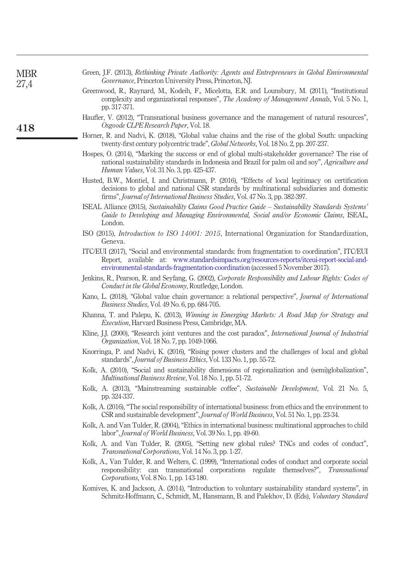<span id="page-22-20"></span><span id="page-22-19"></span><span id="page-22-18"></span><span id="page-22-17"></span><span id="page-22-16"></span><span id="page-22-15"></span><span id="page-22-14"></span><span id="page-22-13"></span><span id="page-22-12"></span><span id="page-22-11"></span><span id="page-22-10"></span><span id="page-22-9"></span><span id="page-22-8"></span><span id="page-22-7"></span><span id="page-22-6"></span><span id="page-22-5"></span><span id="page-22-4"></span><span id="page-22-3"></span><span id="page-22-2"></span><span id="page-22-1"></span><span id="page-22-0"></span>

| <b>MBR</b><br>27,4 | Green, J.F. (2013), Rethinking Private Authority: Agents and Entrepreneurs in Global Environmental<br><i>Governance</i> , Princeton University Press, Princeton, NJ.                                                                                                              |
|--------------------|-----------------------------------------------------------------------------------------------------------------------------------------------------------------------------------------------------------------------------------------------------------------------------------|
|                    | Greenwood, R., Raynard, M., Kodeih, F., Micelotta, E.R. and Lounsbury, M. (2011), "Institutional<br>complexity and organizational responses", The Academy of Management Annals, Vol. 5 No. 1,<br>pp. 317-371.                                                                     |
| 418                | Haufler, V. (2012), "Transnational business governance and the management of natural resources",<br>Osgoode CLPE Research Paper, Vol. 18.                                                                                                                                         |
|                    | Horner, R. and Nadvi, K. (2018), "Global value chains and the rise of the global South: unpacking<br>twenty-first century polycentric trade", <i>Global Networks</i> , Vol. 18 No. 2, pp. 207-237.                                                                                |
|                    | Hospes, O. (2014), "Marking the success or end of global multi-stakeholder governance? The rise of<br>national sustainability standards in Indonesia and Brazil for palm oil and soy", Agriculture and<br>Human Values, Vol. 31 No. 3, pp. 425-437.                               |
|                    | Husted, B.W., Montiel, I. and Christmann, P. (2016), "Effects of local legitimacy on certification<br>decisions to global and national CSR standards by multinational subsidiaries and domestic<br>firms", Journal of International Business Studies, Vol. 47 No. 3, pp. 382-397. |
|                    | ISEAL Alliance (2015), Sustainability Claims Good Practice Guide - Sustainability Standards Systems'<br>Guide to Developing and Managing Environmental, Social and/or Economic Claims, ISEAL,<br>London.                                                                          |
|                    | ISO (2015), <i>Introduction to ISO 14001: 2015</i> , International Organization for Standardization,<br>Geneva.                                                                                                                                                                   |
|                    | ITC/EUI (2017), "Social and environmental standards: from fragmentation to coordination", ITC/EUI<br>Report, available at: www.standardsimpacts.org/resources-reports/itceui-report-social-and-<br>environmental-standards-fragmentation-coordination (accessed 5 November 2017). |
|                    | Jenkins, R., Pearson, R. and Seyfang, G. (2002), Corporate Responsibility and Labour Rights: Codes of<br>Conduct in the Global Economy, Routledge, London.                                                                                                                        |
|                    | Kano, L. (2018), "Global value chain governance: a relational perspective", <i>Journal of International</i><br>Business Studies, Vol. 49 No. 6, pp. 684-705.                                                                                                                      |
|                    | Khanna, T. and Palepu, K. (2013), Winning in Emerging Markets: A Road Map for Strategy and<br>Execution, Harvard Business Press, Cambridge, MA.                                                                                                                                   |
|                    | Kline, J.J. (2000), "Research joint ventures and the cost paradox", <i>International Journal of Industrial</i><br>Organization, Vol. 18 No. 7, pp. 1049-1066.                                                                                                                     |
|                    | Knorringa, P. and Nadvi, K. (2016), "Rising power clusters and the challenges of local and global<br>standards", Journal of Business Ethics, Vol. 133 No. 1, pp. 55-72.                                                                                                           |
|                    | Kolk, A. (2010), "Social and sustainability dimensions of regionalization and (semi)globalization",<br><i>Multinational Business Review, Vol. 18 No. 1, pp. 51-72.</i>                                                                                                            |
|                    | Kolk, A. (2013), "Mainstreaming sustainable coffee", Sustainable Development, Vol. 21 No. 5,<br>pp. 324-337.                                                                                                                                                                      |
|                    | Kolk, A. (2016), "The social responsibility of international business: from ethics and the environment to<br>CSR and sustainable development", Journal of World Business, Vol. 51 No. 1, pp. 23-34.                                                                               |
|                    | Kolk, A. and Van Tulder, R. (2004), "Ethics in international business: multinational approaches to child<br>labor", Journal of World Business, Vol. 39 No. 1, pp. 49-60.                                                                                                          |
|                    | Kolk, A. and Van Tulder, R. (2005), "Setting new global rules? TNCs and codes of conduct",<br>Transnational Corporations, Vol. 14 No. 3, pp. 1-27.                                                                                                                                |
|                    | Kolk, A., Van Tulder, R. and Welters, C. (1999), "International codes of conduct and corporate social<br>responsibility: can transnational corporations regulate themselves?", Transnational<br>Corporations, Vol. 8 No. 1, pp. 143-180.                                          |
|                    | Komives, K. and Jackson, A. (2014), "Introduction to voluntary sustainability standard systems", in<br>Schmitz-Hoffmann, C., Schmidt, M., Hansmann, B. and Palekhov, D. (Eds), Voluntary Standard                                                                                 |
|                    |                                                                                                                                                                                                                                                                                   |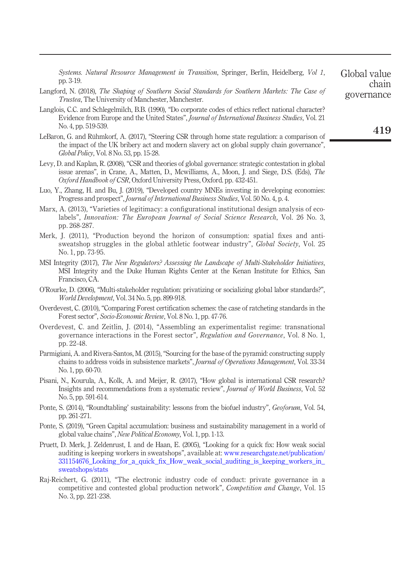<span id="page-23-14"></span><span id="page-23-12"></span><span id="page-23-9"></span><span id="page-23-8"></span><span id="page-23-6"></span><span id="page-23-2"></span><span id="page-23-1"></span>

| Langford, N. (2018), The Shaping of Southern Social Standards for Southern Markets: The Case of<br><i>Trustea</i> , The University of Manchester, Manchester.                                                                                                                     | governance |
|-----------------------------------------------------------------------------------------------------------------------------------------------------------------------------------------------------------------------------------------------------------------------------------|------------|
| Langlois, C.C. and Schlegelmilch, B.B. (1990), "Do corporate codes of ethics reflect national character?<br>Evidence from Europe and the United States", <i>Journal of International Business Studies</i> , Vol. 21<br>No. 4, pp. 519-539.                                        | 419        |
| LeBaron, G. and Rühmkorf, A. (2017), "Steering CSR through home state regulation: a comparison of<br>the impact of the UK bribery act and modern slavery act on global supply chain governance",<br><i>Global Policy</i> , Vol. 8 No. 53, pp. 15-28.                              |            |
| Levy, D. and Kaplan, R. (2008), "CSR and theories of global governance: strategic contestation in global<br>issue arenas", in Crane, A., Matten, D., Mcwilliams, A., Moon, J. and Siege, D.S. (Eds), The<br>Oxford Handbook of CSR, Oxford University Press, Oxford, pp. 432-451. |            |
| Luo, Y., Zhang, H. and Bu, J. (2019), "Developed country MNEs investing in developing economies:<br>Progress and prospect", <i>Journal of International Business Studies</i> , Vol. 50 No. 4, p. 4.                                                                               |            |
| Marx, A. (2013), "Varieties of legitimacy: a configurational institutional design analysis of eco-<br>labels", Innovation: The European Journal of Social Science Research, Vol. 26 No. 3,<br>pp. 268-287.                                                                        |            |
| Merk, J. (2011), "Production beyond the horizon of consumption: spatial fixes and anti-<br>sweatshop struggles in the global athletic footwear industry", <i>Global Society</i> , Vol. 25<br>No. 1, pp. 73-95.                                                                    |            |
| MSI Integrity (2017), The New Regulators? Assessing the Landscape of Multi-Stakeholder Initiatives,<br>MSI Integrity and the Duke Human Rights Center at the Kenan Institute for Ethics, San<br>Francisco, CA.                                                                    |            |
| O'Rourke, D. (2006), "Multi-stakeholder regulation: privatizing or socializing global labor standards?",<br>World Development, Vol. 34 No. 5, pp. 899-918.                                                                                                                        |            |
| Overdevest, C. (2010), "Comparing Forest certification schemes: the case of ratcheting standards in the<br>Forest sector", <i>Socio-Economic Review</i> , Vol. 8 No. 1, pp. 47-76.                                                                                                |            |
| Overdevest, C. and Zeitlin, J. (2014), "Assembling an experimentalist regime: transnational<br>governance interactions in the Forest sector", Regulation and Governance, Vol. 8 No. 1,<br>pp. 22-48.                                                                              |            |
| Parmigiani, A. and Rivera-Santos, M. (2015), "Sourcing for the base of the pyramid: constructing supply<br>chains to address voids in subsistence markets", <i>Journal of Operations Management</i> , Vol. 33-34<br>No. 1, pp. 60-70.                                             |            |
| Pisani, N., Kourula, A., Kolk, A. and Meijer, R. (2017), "How global is international CSR research?                                                                                                                                                                               |            |

Systems. Natural Resource Management in Transition, Springer, Berlin, Heidelberg, Vol 1,

Global value

chain

pp. 3-19.

- <span id="page-23-13"></span><span id="page-23-7"></span><span id="page-23-5"></span><span id="page-23-4"></span><span id="page-23-3"></span><span id="page-23-0"></span>Insights and recommendations from a systematic review", Journal of World Business, Vol. 52 No. 5, pp. 591-614.
- <span id="page-23-15"></span>Ponte, S. (2014), "Roundtabling' sustainability: lessons from the biofuel industry", Geoforum, Vol. 54, pp. 261-271.
- <span id="page-23-11"></span>Ponte, S. (2019), "Green Capital accumulation: business and sustainability management in a world of global value chains", New Political Economy, Vol. 1, pp. 1-13.
- <span id="page-23-10"></span>Pruett, D. Merk, J. Zeldenrust, I. and de Haan, E. (2005), "Looking for a quick fix: How weak social auditing is keeping workers in sweatshops", available at: [www.researchgate.net/publication/](http://www.researchgate.net/publication/331154676_Looking_for_a_quick_fix_How_weak_social_auditing_is_keeping_workers_in_sweatshops/stats) 331154676 Looking for a quick fix How weak social auditing is keeping workers in [sweatshops/stats](http://www.researchgate.net/publication/331154676_Looking_for_a_quick_fix_How_weak_social_auditing_is_keeping_workers_in_sweatshops/stats)
- <span id="page-23-16"></span>Raj-Reichert, G. (2011), "The electronic industry code of conduct: private governance in a competitive and contested global production network", Competition and Change, Vol. 15 No. 3, pp. 221-238.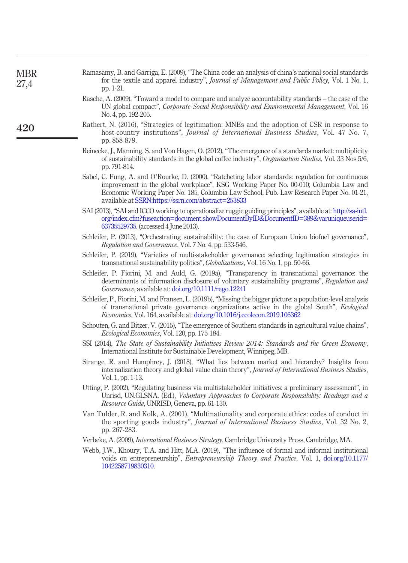<span id="page-24-16"></span><span id="page-24-15"></span><span id="page-24-14"></span><span id="page-24-13"></span><span id="page-24-12"></span><span id="page-24-11"></span><span id="page-24-10"></span><span id="page-24-9"></span><span id="page-24-8"></span><span id="page-24-7"></span><span id="page-24-6"></span><span id="page-24-5"></span><span id="page-24-4"></span><span id="page-24-3"></span><span id="page-24-2"></span><span id="page-24-1"></span><span id="page-24-0"></span>

| <b>MBR</b><br>27,4 | Ramasamy, B. and Garriga, E. (2009), "The China code: an analysis of china's national social standards<br>for the textile and apparel industry", Journal of Management and Public Policy, Vol. 1 No. 1,<br>pp. 1-21.                                                                                                                        |
|--------------------|---------------------------------------------------------------------------------------------------------------------------------------------------------------------------------------------------------------------------------------------------------------------------------------------------------------------------------------------|
|                    | Rasche, A. (2009), "Toward a model to compare and analyze accountability standards – the case of the<br>UN global compact", Corporate Social Responsibility and Environmental Management, Vol. 16<br>No. 4, pp. 192-205.                                                                                                                    |
| 420                | Rathert, N. (2016), "Strategies of legitimation: MNEs and the adoption of CSR in response to<br>host-country institutions", Journal of International Business Studies, Vol. 47 No. 7,<br>pp. 858-879.                                                                                                                                       |
|                    | Reinecke, J., Manning, S. and Von Hagen, O. (2012), "The emergence of a standards market: multiplicity<br>of sustainability standards in the global coffee industry", Organization Studies, Vol. 33 Nos 5/6,<br>pp. 791-814.                                                                                                                |
|                    | Sabel, C. Fung, A. and O'Rourke, D. (2000), "Ratcheting labor standards: regulation for continuous<br>improvement in the global workplace", KSG Working Paper No. 00-010; Columbia Law and<br>Economic Working Paper No. 185, Columbia Law School, Pub. Law Research Paper No. 01-21,<br>available at SSRN:https://ssrn.com/abstract=253833 |
|                    | SAI (2013), "SAI and ICCO working to operationalize ruggie guiding principles", available at: http://sa-intl.<br>org/index.cfm?fuseaction=document.showDocumentByID&DocumentID=389&varuniqueuserid=<br>63735529735. (accessed 4 June 2013).                                                                                                 |
|                    | Schleifer, P. (2013), "Orchestrating sustainability: the case of European Union biofuel governance",<br><i>Regulation and Governance, Vol. 7 No. 4, pp. 533-546.</i>                                                                                                                                                                        |
|                    | Schleifer, P. (2019), "Varieties of multi-stakeholder governance: selecting legitimation strategies in<br>transnational sustainability politics", Globalizations, Vol. 16 No. 1, pp. 50-66.                                                                                                                                                 |
|                    | Schleifer, P. Fiorini, M. and Auld, G. (2019a), "Transparency in transnational governance: the<br>determinants of information disclosure of voluntary sustainability programs", Regulation and<br><i>Governance</i> , available at: doi.org/10.1111/rego.12241                                                                              |
|                    | Schleifer, P., Fiorini, M. and Fransen, L. (2019b), "Missing the bigger picture: a population-level analysis<br>of transnational private governance organizations active in the global South", <i>Ecological</i><br><i>Economics</i> , Vol. 164, available at: doi.org/10.1016/j.ecolecon.2019.106362                                       |
|                    | Schouten, G. and Bitzer, V. (2015), "The emergence of Southern standards in agricultural value chains",<br><i>Ecological Economics</i> , Vol. 120, pp. 175-184.                                                                                                                                                                             |
|                    | SSI (2014), The State of Sustainability Initiatives Review 2014: Standards and the Green Economy,<br>International Institute for Sustainable Development, Winnipeg, MB.                                                                                                                                                                     |
|                    | Strange, R. and Humphrey, J. (2018), "What lies between market and hierarchy? Insights from<br>internalization theory and global value chain theory", <i>Journal of International Business Studies</i> ,<br>Vol. 1, pp. 1-13.                                                                                                               |
|                    | Utting, P. (2002), "Regulating business via multistakeholder initiatives: a preliminary assessment", in<br>Unrisd, UN.GLSNA. (Ed.), Voluntary Approaches to Corporate Responsibility: Readings and a<br><i>Resource Guide</i> , UNRISD, Geneva, pp. 61-130.                                                                                 |
|                    | Van Tulder, R. and Kolk, A. (2001), "Multinationality and corporate ethics: codes of conduct in<br>the sporting goods industry", Journal of International Business Studies, Vol. 32 No. 2,<br>pp. 267-283.                                                                                                                                  |
|                    | Verbeke, A. (2009), <i>International Business Strategy</i> , Cambridge University Press, Cambridge, MA.                                                                                                                                                                                                                                     |
|                    | Webb, J.W., Khoury, T.A. and Hitt, M.A. (2019), "The influence of formal and informal institutional<br>voids on entrepreneurship", <i>Entrepreneurship Theory and Practice</i> , Vol. 1, doi.org/10.1177/<br>1042258719830310.                                                                                                              |
|                    |                                                                                                                                                                                                                                                                                                                                             |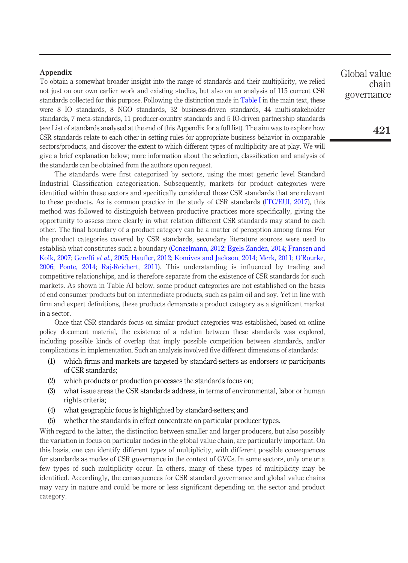## **Appendix**

To obtain a somewhat broader insight into the range of standards and their multiplicity, we relied not just on our own earlier work and existing studies, but also on an analysis of 115 current CSR standards collected for this purpose. Following the distinction made in [Table I](#page-4-0) in the main text, these were 8 IO standards, 8 NGO standards, 32 business-driven standards, 44 multi-stakeholder standards, 7 meta-standards, 11 producer-country standards and 5 IO-driven partnership standards (see List of standards analysed at the end of this Appendix for a full list). The aim was to explore how CSR standards relate to each other in setting rules for appropriate business behavior in comparable sectors/products, and discover the extent to which different types of multiplicity are at play. We will give a brief explanation below; more information about the selection, classification and analysis of the standards can be obtained from the authors upon request.

The standards were first categorized by sectors, using the most generic level Standard Industrial Classification categorization. Subsequently, markets for product categories were identified within these sectors and specifically considered those CSR standards that are relevant to these products. As is common practice in the study of CSR standards [\(ITC/EUI, 2017](#page-22-11)), this method was followed to distinguish between productive practices more specifically, giving the opportunity to assess more clearly in what relation different CSR standards may stand to each other. The final boundary of a product category can be a matter of perception among firms. For the product categories covered by CSR standards, secondary literature sources were used to establish what constitutes such a boundary ([Conzelmann, 2012](#page-20-20); [Egels-Zandén, 2014;](#page-21-17) [Fransen and](#page-21-0) [Kolk, 2007;](#page-21-0) Gereffi et al.[, 2005;](#page-21-18) Haufl[er, 2012;](#page-22-10) [Komives and Jackson, 2014](#page-22-20); [Merk, 2011](#page-23-14); O'[Rourke,](#page-23-5) [2006;](#page-23-5) [Ponte, 2014;](#page-23-15) [Raj-Reichert, 2011](#page-23-16)). This understanding is influenced by trading and competitive relationships, and is therefore separate from the existence of CSR standards for such markets. As shown in Table AI below, some product categories are not established on the basis of end consumer products but on intermediate products, such as palm oil and soy. Yet in line with firm and expert definitions, these products demarcate a product category as a significant market in a sector.

Once that CSR standards focus on similar product categories was established, based on online policy document material, the existence of a relation between these standards was explored, including possible kinds of overlap that imply possible competition between standards, and/or complications in implementation. Such an analysis involved five different dimensions of standards:

- (1) which firms and markets are targeted by standard-setters as endorsers or participants of CSR standards;
- (2) which products or production processes the standards focus on;
- (3) what issue areas the CSR standards address, in terms of environmental, labor or human rights criteria;
- (4) what geographic focus is highlighted by standard-setters; and
- (5) whether the standards in effect concentrate on particular producer types.

With regard to the latter, the distinction between smaller and larger producers, but also possibly the variation in focus on particular nodes in the global value chain, are particularly important. On this basis, one can identify different types of multiplicity, with different possible consequences for standards as modes of CSR governance in the context of GVCs. In some sectors, only one or a few types of such multiplicity occur. In others, many of these types of multiplicity may be identified. Accordingly, the consequences for CSR standard governance and global value chains may vary in nature and could be more or less significant depending on the sector and product category.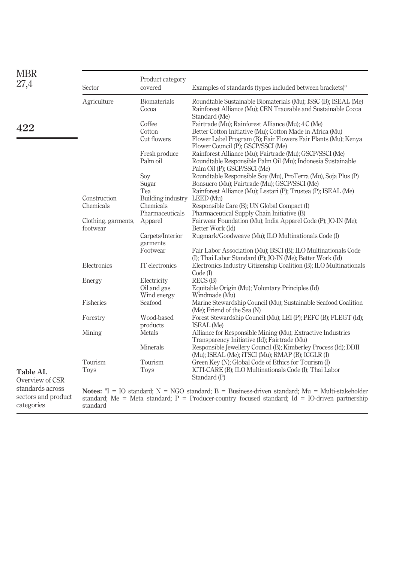<span id="page-26-0"></span>

| <b>MBR</b><br>27,4                                    | Sector                          | Product category<br>covered                                 | Examples of standards (types included between brackets) <sup>a</sup>                                                                                                                                                  |
|-------------------------------------------------------|---------------------------------|-------------------------------------------------------------|-----------------------------------------------------------------------------------------------------------------------------------------------------------------------------------------------------------------------|
|                                                       | Agriculture                     | <b>Biomaterials</b><br>Cocoa                                | Roundtable Sustainable Biomaterials (Mu); ISSC (B); ISEAL (Me)<br>Rainforest Alliance (Mu); CEN Traceable and Sustainable Cocoa                                                                                       |
| 422                                                   |                                 | Coffee<br>Cotton<br>Cut flowers                             | Standard (Me)<br>Fairtrade (Mu); Rainforest Alliance (Mu); 4 C (Me)<br>Better Cotton Initiative (Mu); Cotton Made in Africa (Mu)<br>Flower Label Program (B); Fair Flowers Fair Plants (Mu); Kenya                    |
|                                                       |                                 | Fresh produce<br>Palm oil                                   | Flower Council (P); GSCP/SSCI (Me)<br>Rainforest Alliance (Mu); Fairtrade (Mu); GSCP/SSCI (Me)<br>Roundtable Responsible Palm Oil (Mu); Indonesia Sustainable<br>Palm Oil (P); GSCP/SSCI (Me)                         |
|                                                       |                                 | Soy<br>Sugar<br>Tea                                         | Roundtable Responsible Soy (Mu), ProTerra (Mu), Soja Plus (P)<br>Bonsucro (Mu); Fairtrade (Mu); GSCP/SSCI (Me)<br>Rainforest Alliance (Mu); Lestari (P); Trustea (P); ISEAL (Me)                                      |
|                                                       | Construction<br>Chemicals       | Building industry LEED (Mu)<br>Chemicals<br>Pharmaceuticals | Responsible Care (B); UN Global Compact (I)<br>Pharmaceutical Supply Chain Initiative (B)                                                                                                                             |
|                                                       | Clothing, garments,<br>footwear | Apparel                                                     | Fairwear Foundation (Mu); India Apparel Code (P); JO-IN (Me);<br>Better Work (Id)                                                                                                                                     |
|                                                       |                                 | Carpets/Interior<br>garments<br>Footwear                    | Rugmark/Goodweave (Mu); ILO Multinationals Code (I)<br>Fair Labor Association (Mu); BSCI (B); ILO Multinationals Code                                                                                                 |
|                                                       | Electronics                     | IT electronics                                              | (I); Thai Labor Standard (P); JO-IN (Me); Better Work (Id)<br>Electronics Industry Citizenship Coalition (B); ILO Multinationals                                                                                      |
|                                                       | Energy                          | Electricity<br>Oil and gas                                  | $Code$ (I)<br>RECS(B)<br>Equitable Origin (Mu); Voluntary Principles (Id)                                                                                                                                             |
|                                                       | Fisheries                       | Wind energy<br>Seafood                                      | Windmade (Mu)<br>Marine Stewardship Council (Mu); Sustainable Seafood Coalition                                                                                                                                       |
|                                                       | Forestry                        | Wood-based<br>products                                      | (Me); Friend of the Sea (N)<br>Forest Stewardship Council (Mu); LEI (P); PEFC (B); FLEGT (Id);<br><b>ISEAL</b> (Me)                                                                                                   |
|                                                       | Mining                          | Metals                                                      | Alliance for Responsible Mining (Mu); Extractive Industries<br>Transparency Initiative (Id); Fairtrade (Mu)                                                                                                           |
|                                                       | Tourism                         | Minerals<br>Tourism                                         | Responsible Jewellery Council (B); Kimberley Process (Id); DDII<br>(Mu); ISEAL (Me); iTSCI (Mu); RMAP (B); ICGLR (I)<br>Green Key (N); Global Code of Ethics for Tourism (I)                                          |
| Table AI.<br>Overview of CSR                          | Toys                            | <b>Toys</b>                                                 | ICTI-CARE (B); ILO Multinationals Code (I); Thai Labor<br>Standard (P)                                                                                                                                                |
| standards across<br>sectors and product<br>categories | standard                        |                                                             | <b>Notes:</b> ${}^{a}I = IO$ standard; $N = NGO$ standard; $B = Business$ driven standard; $Mu = Multistakeholder$<br>standard; Me = Meta standard; P = Producer-country focused standard; Id = IO-driven partnership |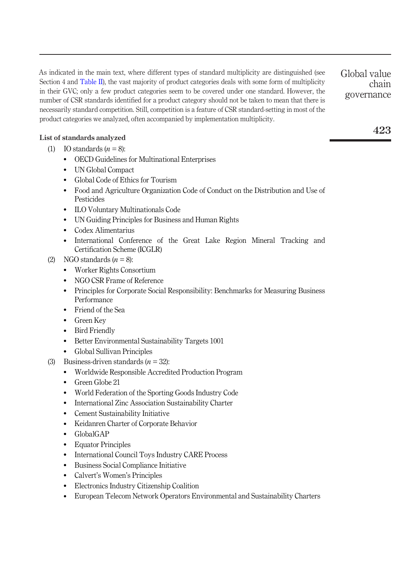As indicated in the main text, where different types of standard multiplicity are distinguished (see Section 4 and [Table II](#page-8-0)), the vast majority of product categories deals with some form of multiplicity in their GVC; only a few product categories seem to be covered under one standard. However, the number of CSR standards identified for a product category should not be taken to mean that there is necessarily standard competition. Still, competition is a feature of CSR standard-setting in most of the product categories we analyzed, often accompanied by implementation multiplicity. Global value

# List of standards analyzed

- (1) IO standards  $(n = 8)$ :
	- OECD Guidelines for Multinational Enterprises
	- UN Global Compact
	- Global Code of Ethics for Tourism
	- Food and Agriculture Organization Code of Conduct on the Distribution and Use of Pesticides
	- ILO Voluntary Multinationals Code
	- UN Guiding Principles for Business and Human Rights
	- Codex Alimentarius
	- International Conference of the Great Lake Region Mineral Tracking and Certification Scheme (ICGLR)
- (2) NGO standards  $(n = 8)$ :
	- Worker Rights Consortium
	- NGO CSR Frame of Reference
	- Principles for Corporate Social Responsibility: Benchmarks for Measuring Business Performance
	- Friend of the Sea
	- Green Key
	- Bird Friendly
	- Better Environmental Sustainability Targets 1001
	- Global Sullivan Principles
- (3) Business-driven standards  $(n = 32)$ :
	- Worldwide Responsible Accredited Production Program
	- Green Globe 21
	- World Federation of the Sporting Goods Industry Code
	- International Zinc Association Sustainability Charter
	- Cement Sustainability Initiative
	- Keidanren Charter of Corporate Behavior
	- $\bullet$  GlobalGAP
	- Equator Principles
	- International Council Toys Industry CARE Process
	- Business Social Compliance Initiative
	- Calvert's Women's Principles
	- Electronics Industry Citizenship Coalition
	- European Telecom Network Operators Environmental and Sustainability Charters

423

chain

governance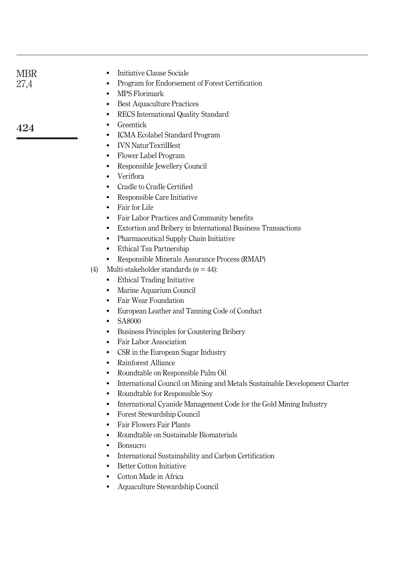| <b>MBR</b><br>27,4 | Initiative Clause Sociale<br>٠<br>Program for Endorsement of Forest Certification<br>$\bullet$<br>MPS Florimark<br>$\bullet$<br><b>Best Aquaculture Practices</b><br>٠<br>٠                                                                                                                                                                                                                                                                                                                                                                                                                                                                                                                                                                                                                                                                                                                                                                                                                                                                                                                                                                                                                                                                                                                                                                                                                                                                                          |
|--------------------|----------------------------------------------------------------------------------------------------------------------------------------------------------------------------------------------------------------------------------------------------------------------------------------------------------------------------------------------------------------------------------------------------------------------------------------------------------------------------------------------------------------------------------------------------------------------------------------------------------------------------------------------------------------------------------------------------------------------------------------------------------------------------------------------------------------------------------------------------------------------------------------------------------------------------------------------------------------------------------------------------------------------------------------------------------------------------------------------------------------------------------------------------------------------------------------------------------------------------------------------------------------------------------------------------------------------------------------------------------------------------------------------------------------------------------------------------------------------|
| 424                | RECS International Quality Standard<br>Greentick<br>٠<br>ICMA Ecolabel Standard Program<br>٠<br><b>IVN NaturTextilBest</b><br>$\bullet$<br>Flower Label Program<br>٠<br>Responsible Jewellery Council<br>٠<br>Veriflora<br>$\bullet$<br>Cradle to Cradle Certified<br>$\bullet$<br>Responsible Care Initiative<br>$\bullet$<br>Fair for Life<br>$\bullet$<br>Fair Labor Practices and Community benefits<br>$\bullet$<br>Extortion and Bribery in International Business Transactions<br>$\bullet$<br>• Pharmaceutical Supply Chain Initiative<br>• Ethical Tea Partnership<br>• Responsible Minerals Assurance Process (RMAP)<br>Multi-stakeholder standards $(n = 44)$ :<br>(4)<br>• Ethical Trading Initiative<br>Marine Aquarium Council<br>Fair Wear Foundation<br>$\bullet$<br>European Leather and Tanning Code of Conduct<br>$\bullet$<br>SA8000<br>$\bullet$<br>Business Principles for Countering Bribery<br>$\bullet$<br>Fair Labor Association<br>$\bullet$<br>CSR in the European Sugar Industry<br>$\bullet$<br>Rainforest Alliance<br>$\bullet$<br>Roundtable on Responsible Palm Oil<br>$\bullet$<br>International Council on Mining and Metals Sustainable Development Charter<br>$\bullet$<br>Roundtable for Responsible Soy<br>$\bullet$<br>International Cyanide Management Code for the Gold Mining Industry<br>Forest Stewardship Council<br>٠<br><b>Fair Flowers Fair Plants</b><br>Roundtable on Sustainable Biomaterials<br><b>Bonsucro</b> |
|                    | International Sustainability and Carbon Certification<br>$\bullet$<br><b>Better Cotton Initiative</b><br>$\bullet$<br>Cotton Made in Africa<br>٠<br>Aquaculture Stewardship Council<br>٠                                                                                                                                                                                                                                                                                                                                                                                                                                                                                                                                                                                                                                                                                                                                                                                                                                                                                                                                                                                                                                                                                                                                                                                                                                                                             |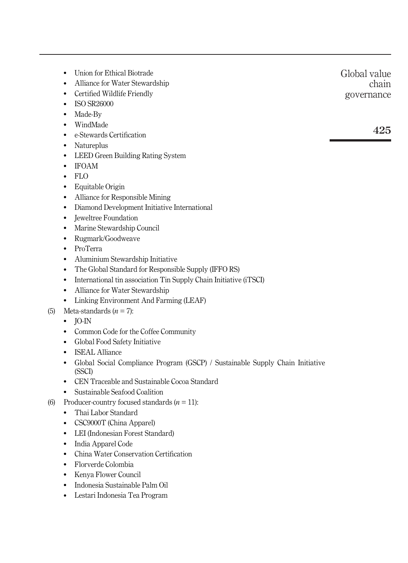- Union for Ethical Biotrade
- Alliance for Water Stewardship
- Certified Wildlife Friendly
- ISO SR26000
- Made-By
- WindMade
- e-Stewards Certification
- Natureplus
- LEED Green Building Rating System
- IFOAM
- FLO
- Equitable Origin
- Alliance for Responsible Mining
- Diamond Development Initiative International
- **Jeweltree Foundation**
- Marine Stewardship Council
- Rugmark/Goodweave
- ProTerra
- Aluminium Stewardship Initiative
- The Global Standard for Responsible Supply (IFFO RS)
- International tin association Tin Supply Chain Initiative (iTSCI)
- Alliance for Water Stewardship
- Linking Environment And Farming (LEAF)
- (5) Meta-standards  $(n = 7)$ :
	- $\bullet$  IO-IN
	- Common Code for the Coffee Community
	- Global Food Safety Initiative
	- ISEAL Alliance
	- Global Social Compliance Program (GSCP) / Sustainable Supply Chain Initiative (SSCI)
	- CEN Traceable and Sustainable Cocoa Standard
	- Sustainable Seafood Coalition
- (6) Producer-country focused standards  $(n = 11)$ :
	- Thai Labor Standard
	- CSC9000T (China Apparel)
	- LEI (Indonesian Forest Standard)
	- India Apparel Code
	- China Water Conservation Certification
	- Florverde Colombia
	- Kenya Flower Council
	- Indonesia Sustainable Palm Oil
	- Lestari Indonesia Tea Program